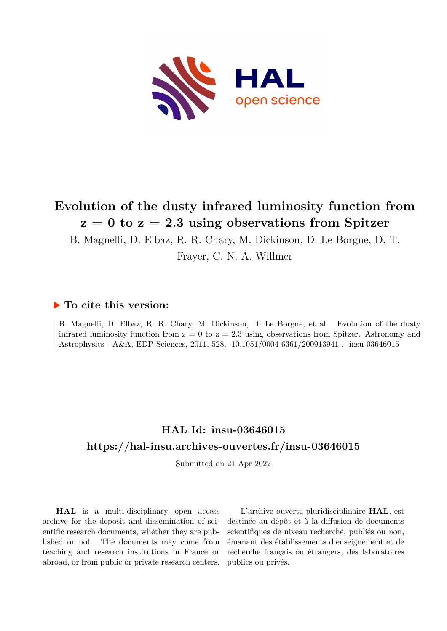

# **Evolution of the dusty infrared luminosity function from z = 0 to z = 2.3 using observations from Spitzer**

B. Magnelli, D. Elbaz, R. R. Chary, M. Dickinson, D. Le Borgne, D. T.

Frayer, C. N. A. Willmer

# **To cite this version:**

B. Magnelli, D. Elbaz, R. R. Chary, M. Dickinson, D. Le Borgne, et al.. Evolution of the dusty infrared luminosity function from  $z = 0$  to  $z = 2.3$  using observations from Spitzer. Astronomy and Astrophysics - A&A, EDP Sciences, 2011, 528, 10.1051/0004-6361/200913941 . insu-03646015

# **HAL Id: insu-03646015 <https://hal-insu.archives-ouvertes.fr/insu-03646015>**

Submitted on 21 Apr 2022

**HAL** is a multi-disciplinary open access archive for the deposit and dissemination of scientific research documents, whether they are published or not. The documents may come from teaching and research institutions in France or abroad, or from public or private research centers.

L'archive ouverte pluridisciplinaire **HAL**, est destinée au dépôt et à la diffusion de documents scientifiques de niveau recherche, publiés ou non, émanant des établissements d'enseignement et de recherche français ou étrangers, des laboratoires publics ou privés.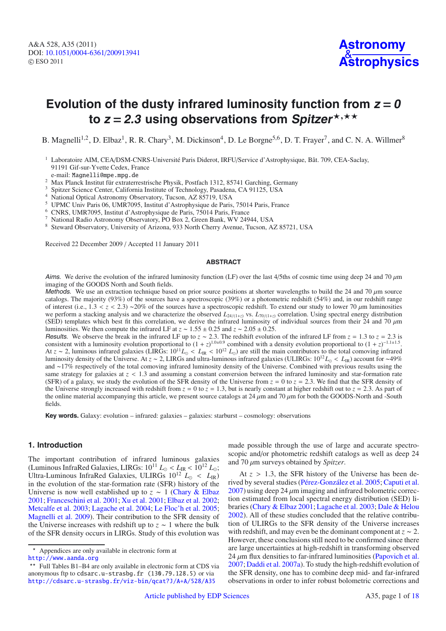# Evolution of the dusty infrared luminosity function from  $z = 0$ to *z* = 2.3 using observations from Spitzer\*,\*\*

B. Magnelli<sup>1,2</sup>, D. Elbaz<sup>1</sup>, R. R. Chary<sup>3</sup>, M. Dickinson<sup>4</sup>, D. Le Borgne<sup>5,6</sup>, D. T. Frayer<sup>7</sup>, and C. N. A. Willmer<sup>8</sup>

- <sup>1</sup> Laboratoire AIM, CEA/DSM-CNRS-Université Paris Diderot, IRFU/Service d'Astrophysique, Bât. 709, CEA-Saclay, 91191 Gif-sur-Yvette Cedex, France e-mail: Magnelli@mpe.mpg.de
- <sup>2</sup> Max Planck Institut für extraterrestrische Physik, Postfach 1312, 85741 Garching, Germany
- <sup>3</sup> Spitzer Science Center, California Institute of Technology, Pasadena, CA 91125, USA
- National Optical Astronomy Observatory, Tucson, AZ 85719, USA
- <sup>5</sup> UPMC Univ Paris 06, UMR7095, Institut d'Astrophysique de Paris, 75014 Paris, France<br>6 CNDS, UMR7005, Institut d'Astrophysique de Paris, 75014 Paris, France
- <sup>6</sup> CNRS, UMR7095, Institut d'Astrophysique de Paris, 75014 Paris, France
- <sup>7</sup> National Radio Astronomy Observatory, PO Box 2, Green Bank, WV 24944, USA
- <sup>8</sup> Steward Observatory, University of Arizona, 933 North Cherry Avenue, Tucson, AZ 85721, USA

Received 22 December 2009 / Accepted 11 January 2011

## **ABSTRACT**

Aims. We derive the evolution of the infrared luminosity function (LF) over the last 4/5ths of cosmic time using deep 24 and 70  $\mu$ m imaging of the GOODS North and South fields.

Methods. We use an extraction technique based on prior source positions at shorter wavelengths to build the 24 and 70  $\mu$ m source catalogs. The majority (93%) of the sources have a spectroscopic (39%) or a photometric redshift (54%) and, in our redshift range of interest (i.e., 1.<sup>3</sup> < *<sup>z</sup>* < <sup>2</sup>.3) <sup>∼</sup>20% of the sources have a spectroscopic redshift. To extend our study to lower 70 μm luminosities we perform a stacking analysis and we characterize the observed  $L_{24/(1+z)}$  vs.  $L_{70/(1+z)}$  correlation. Using spectral energy distribution (SED) templates which best fit this correlation, we derive the infrared luminosity of individual sources from their 24 and 70  $\mu$ m luminosities. We then compute the infrared LF at  $z \sim 1.55 \pm 0.25$  and  $z \sim 2.05 \pm 0.25$ .<br>Results. We observe the break in the infrared LF up to  $z \sim 2.3$ . The redshift evolution of the infrared LF from  $z = 1.3$  to  $z = 2.$ 

**Results.** We observe the break in the infrared LF up to  $z \sim 2.3$ . The redshift evolution of the infrared LF from  $z = 1.3$  to  $z = 2.3$  is consistent with a luminosity evolution proportional to  $(1 + z)^{1.0 \pm 0.9}$  combined At  $z \sim 2$ , luminous infrared galaxies (LIRGs:  $10^{11}L_{\odot} < L_{\rm IR} < 10^{12} L_{\odot}$ ) are still the main contributors to the total comoving infrared luminosity density of the Universe. At *<sup>z</sup>* <sup>∼</sup> 2, LIRGs and ultra-luminous infrared galaxies (ULIRGs: 1012*L* <sup>&</sup>lt; *<sup>L</sup>*IR) account for <sup>∼</sup>49% and <sup>∼</sup>17% respectively of the total comoving infrared luminosity density of the Universe. Combined with previous results using the same strategy for galaxies at  $z < 1.3$  and assuming a constant conversion between the infrared luminosity and star-formation rate (SFR) of a galaxy, we study the evolution of the SFR density of the Universe from  $z = 0$  to  $z = 2.3$ . We find that the SFR density of the Universe strongly increased with redshift from  $z = 0$  to  $z = 1.3$ , but is nearly constant at higher redshift out to  $z = 2.3$ . As part of the online material accompanying this article, we present source catalogs at 24  $\mu$ m and 70  $\mu$ m for both the GOODS-North and -South fields.

**Key words.** Galaxy: evolution – infrared: galaxies – galaxies: starburst – cosmology: observations

#### **1. Introduction**

The important contribution of infrared luminous galaxies (Luminous InfraRed Galaxies, LIRGs:  $10^{11} L_{\odot} < L_{IR} < 10^{12} L_{\odot}$ ; Ultra-Luminous InfraRed Galaxies, ULIRGs  $10^{12}$   $L_{\odot}$  <  $L_{\rm IR}$ ) in the evolution of the star-formation rate (SFR) history of the Universe is now well established up to *<sup>z</sup>* <sup>∼</sup> 1 (Chary & Elbaz 2001; Franceschini et al. 2001; Xu et al. 2001; Elbaz et al. 2002; Metcalfe et al. 2003; Lagache et al. 2004; Le Floc'h et al. 2005; Magnelli et al. 2009). Their contribution to the SFR density of the Universe increases with redshift up to  $z \sim 1$  where the bulk of the SFR density occurs in LIRGs. Study of this evolution was made possible through the use of large and accurate spectroscopic and/or photometric redshift catalogs as well as deep 24 and 70 μm surveys obtained by *Spitzer*.

At  $z > 1.3$ , the SFR history of the Universe has been derived by several studies (Pérez-González et al. 2005; Caputi et al.  $2007$ ) using deep 24  $\mu$ m imaging and infrared bolometric correction estimated from local spectral energy distribution (SED) libraries (Chary & Elbaz 2001; Lagache et al. 2003; Dale & Helou 2002). All of these studies concluded that the relative contribution of ULIRGs to the SFR density of the Universe increases with redshift, and may even be the dominant component at  $z \sim 2$ . However, these conclusions still need to be confirmed since there are large uncertainties at high-redshift in transforming observed  $24 \mu m$  flux densities to far-infrared luminosities (Papovich et al. 2007; Daddi et al. 2007a). To study the high-redshift evolution of the SFR density, one has to combine deep mid- and far-infrared observations in order to infer robust bolometric corrections and

<sup>\*</sup> Appendices are only available in electronic form at <http://www.aanda.org>

<sup>\*\*</sup> Full Tables B1-B4 are only available in electronic form at CDS via anonymous ftp to cdsarc.u-strasbg.fr (130.79.128.5) or via <http://cdsarc.u-strasbg.fr/viz-bin/qcat?J/A+A/528/A35>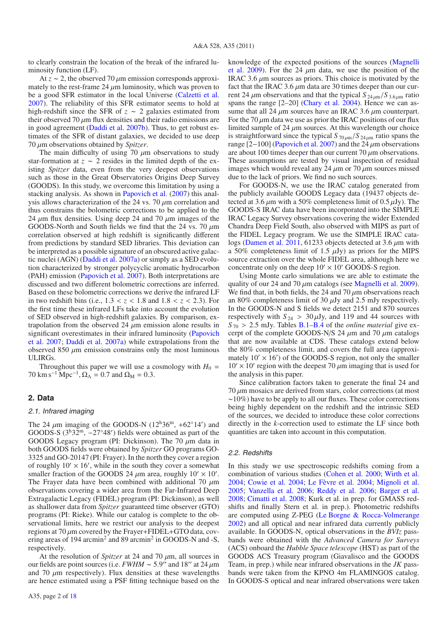to clearly constrain the location of the break of the infrared luminosity function (LF).

At  $z \sim 2$ , the observed 70  $\mu$ m emission corresponds approximately to the rest-frame 24  $\mu$ m luminosity, which was proven to be a good SFR estimator in the local Universe (Calzetti et al. 2007). The reliability of this SFR estimator seems to hold at high-redshift since the SFR of *<sup>z</sup>* <sup>∼</sup> 2 galaxies estimated from their observed 70  $\mu$ m flux densities and their radio emissions are in good agreement (Daddi et al. 2007b). Thus, to get robust estimates of the SFR of distant galaxies, we decided to use deep <sup>70</sup> μm observations obtained by *Spitzer*.

The main difficulty of using 70  $\mu$ m observations to study star-formation at  $z \sim 2$  resides in the limited depth of the existing *Spitzer* data, even from the very deepest observations such as those in the Great Observatories Origins Deep Survey (GOODS). In this study, we overcome this limitation by using a stacking analysis. As shown in Papovich et al. (2007) this analysis allows characterization of the 24 vs. 70  $\mu$ m correlation and thus constrains the bolometric corrections to be applied to the 24  $\mu$ m flux densities. Using deep 24 and 70  $\mu$ m images of the GOODS-North and South fields we find that the 24 vs. 70  $\mu$ m correlation observed at high redshift is significantly different from predictions by standard SED libraries. This deviation can be interpreted as a possible signature of an obscured active galactic nuclei (AGN) (Daddi et al. 2007a) or simply as a SED evolution characterized by stronger polycyclic aromatic hydrocarbon (PAH) emission (Papovich et al. 2007). Both interpretations are discussed and two different bolometric corrections are inferred. Based on these bolometric corrections we derive the infrared LF in two redshift bins (i.e.,  $1.3 < z < 1.8$  and  $1.8 < z < 2.3$ ). For the first time these infrared LFs take into account the evolution of SED observed in high-redshift galaxies. By comparison, extrapolation from the observed 24  $\mu$ m emission alone results in significant overestimates in their infrared luminosity (Papovich et al. 2007; Daddi et al. 2007a) while extrapolations from the observed 850  $\mu$ m emission constrains only the most luminous ULIRGs.

Throughout this paper we will use a cosmology with  $H_0 =$ 70 km s<sup>-1</sup> Mpc<sup>-1</sup>,  $\Omega_{\Lambda} = 0.7$  and  $\Omega_{\text{M}} = 0.3$ .

# **2. Data**

#### 2.1. Infrared imaging

The 24  $\mu$ m imaging of the GOODS-N ( $12^h36^m$ , +62°14') and GOODS-S  $(3^h32^m -27°48')$  fields were obtained as part of the GOODS-S  $(3^h32^m, -27°48')$  fields were obtained as part of the GOODS I egacy program (PI: Dickinson). The 70 *u*m data in GOODS Legacy program (PI: Dickinson). The 70  $\mu$ m data in both GOODS fields were obtained by *Spitzer* GO programs GO-3325 and GO-20147 (PI: Frayer). In the north they cover a region of roughly  $10' \times 16'$ , while in the south they cover a somewhat smaller fraction of the GOODS 24  $\mu$ m area, roughly 10'  $\times$  10'.<br>The Fraver data have been combined with additional 70  $\mu$ m The Frayer data have been combined with additional 70  $\mu$ m observations covering a wider area from the Far-Infrared Deep Extragalactic Legacy (FIDEL) program (PI: Dickinson), as well as shallower data from *Spitzer* guaranteed time observer (GTO) programs (PI: Rieke). While our catalog is complete to the observational limits, here we restrict our analysis to the deepest regions at 70  $\mu$ m covered by the Frayer+FIDEL+GTO data, covering areas of 194 arcmin<sup>2</sup> and 89 arcmin<sup>2</sup> in GOODS-N and -S, respectively.

At the resolution of *Spitzer* at 24 and 70 μm, all sources in our fields are point sources (i.e. *FWHM* ~ 5.9" and 18" at 24  $\mu$ m and 70  $\mu$ m respectively). Flux densities at these wavelengths are hence estimated using a PSF fitting technique based on the knowledge of the expected positions of the sources (Magnelli et al. 2009). For the 24  $\mu$ m data, we use the position of the IRAC 3.6  $\mu$ m sources as priors. This choice is motivated by the fact that the IRAC 3.6  $\mu$ m data are 30 times deeper than our current 24  $\mu$ m observations and that the typical  $S_{24\mu m}/S_{3.6\mu m}$  ratio spans the range  $[2-20]$  (Chary et al. 2004). Hence we can assume that all 24  $\mu$ m sources have an IRAC 3.6  $\mu$ m counterpart. For the  $70 \mu m$  data we use as prior the IRAC positions of our flux limited sample of 24  $\mu$ m sources. At this wavelength our choice is straightforward since the typical  $S_{70 \mu m}/S_{24 \mu m}$  ratio spans the range [2-100] (Papovich et al. 2007) and the 24  $\mu$ m observations are about 100 times deeper than our current 70  $\mu$ m observations. These assumptions are tested by visual inspection of residual images which would reveal any 24  $\mu$ m or 70  $\mu$ m sources missed due to the lack of priors. We find no such sources.

For GOODS-N, we use the IRAC catalog generated from the publicly available GOODS Legacy data (19437 objects detected at 3.6  $\mu$ m with a 50% completeness limit of 0.5  $\mu$ Jy). The GOODS-S IRAC data have been incorporated into the SIMPLE IRAC Legacy Survey observations covering the wider Extended Chandra Deep Field South, also observed with MIPS as part of the FIDEL Legacy program. We use the SIMPLE IRAC catalogs (Damen et al. 2011, 61233 objects detected at 3.6  $\mu$ m with a 50% completeness limit of 1.5  $\mu$ Jy) as priors for the MIPS source extraction over the whole FIDEL area, although here we concentrate only on the deep  $10' \times 10'$  GOODS-S region.

Using Monte carlo simulations we are able to estimate the quality of our 24 and 70  $\mu$ m catalogs (see Magnelli et al. 2009). We find that, in both fields, the 24 and 70 μm observations reach an 80% completeness limit of 30 μJy and 2.5 mJy respectively. In the GOODS-N and S fields we detect 2151 and 870 sources respectively with  $S_{24} > 30 \mu Jy$ , and 119 and 44 sources with  $S_{70} > 2.5$  mJy. Tables B.1–B.4 of the *online material* give excerpt of the complete GOODS-N/S 24  $\mu$ m and 70  $\mu$ m catalogs that are now available at CDS. These catalogs extend below the 80% completeness limit, and covers the full area (approximately  $10' \times 16'$  of the GOODS-S region, not only the smaller  $10' \times 10'$  region with the deepest 70  $\mu$ m imaging that is used for the analysis in this paper.

Since calibration factors taken to generate the final 24 and  $70 \mu$ m mosaics are derived from stars, color corrections (at most <sup>∼</sup>10%) have to be apply to all our fluxes. These color corrections being highly dependent on the redshift and the intrinsic SED of the sources, we decided to introduce these color corrections directly in the *k*-correction used to estimate the LF since both quantities are taken into account in this computation.

#### 2.2. Redshifts

In this study we use spectroscopic redshifts coming from a combination of various studies (Cohen et al. 2000; Wirth et al. 2004; Cowie et al. 2004; Le Fèvre et al. 2004; Mignoli et al. 2005; Vanzella et al. 2006; Reddy et al. 2006; Barger et al. 2008; Cimatti et al. 2008; Kurk et al. in prep. for GMASS redshifts and finally Stern et al. in prep.). Photometric redshifts are computed using Z-PEG (Le Borgne & Rocca-Volmerange 2002) and all optical and near infrared data currently publicly available. In GOODS-N, optical observations in the *BVIz* passbands were obtained with the *Advanced Camera for Surveys* (ACS) onboard the *Hubble Space telescope* (HST) as part of the GOODS ACS Treasury program (Giavalisco and the GOODS Team, in prep.) while near infrared observations in the *JK* passbands were taken from the KPNO 4m FLAMINGOS catalog. In GOODS-S optical and near infrared observations were taken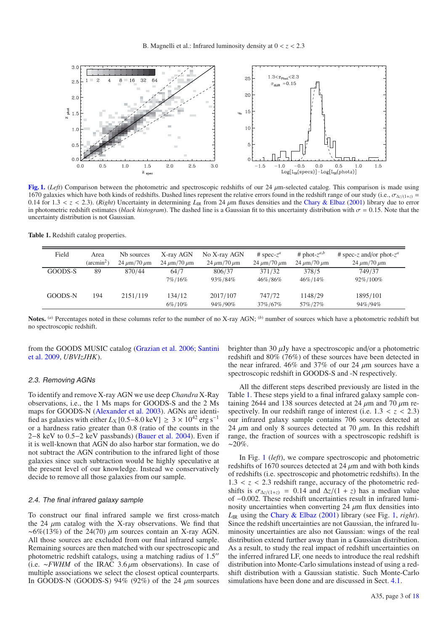

**[Fig. 1.](http://dexter.edpsciences.org/applet.php?DOI=10.1051/0004-6361/200913941&pdf_id=1)** (*Left*) Comparison between the photometric and spectroscopic redshifts of our 24 μm-selected catalog. This comparison is made using 1670 galaxies which have both kinds of redshifts. Dashed lines represent the relative errors found in the redshift range of our study (i.e.,  $\sigma_{\Delta z/(1+z)} =$ 0.14 for 1.3  $\lt z \lt 2.3$ ). (*Right*) Uncertainty in determining  $L_{\text{IR}}$  from 24  $\mu$ m fluxes densities and the Chary & Elbaz (2001) library due to error in photometric redshift estimates (*black histogram*). The dashed line is a Gaussian fit to this uncertainty distribution with  $\sigma = 0.15$ . Note that the uncertainty distribution is not Gaussian.

**Table 1.** Redshift catalog properties.

| Field   | Area<br>$(\text{arcmin}^2)$ | Nb sources<br>$24 \mu m/70 \mu m$ | X-ray AGN<br>$24 \mu m/70 \mu m$ | No X-ray AGN<br>$24 \mu m/70 \mu m$ | # spec- $z^a$<br>$24 \mu m/70 \mu m$ | # phot- $z^{a,b}$<br>$24 \mu m/70 \mu m$ | # spec-z and/or phot- $z^a$<br>$24 \mu m/70 \mu m$ |
|---------|-----------------------------|-----------------------------------|----------------------------------|-------------------------------------|--------------------------------------|------------------------------------------|----------------------------------------------------|
| GOODS-S | 89                          | 870/44                            | 64/7                             | 806/37                              | 371/32                               | 378/5                                    | 749/37                                             |
|         |                             |                                   | 7%/16%                           | 93%/84%                             | 46%/86%                              | 46\%/14\%                                | 92\%/100\%                                         |
| GOODS-N | 194                         | 2151/119                          | 134/12                           | 2017/107                            | 747/72                               | 1148/29                                  | 1895/101                                           |
|         |                             |                                   | 6%/10%                           | 94%/90%                             | 37\%/67\%                            | 57%/27%                                  | 94%/94%                                            |

**Notes.** (*a*) Percentages noted in these columns refer to the number of no X-ray AGN; (*b*) number of sources which have a photometric redshift but no spectroscopic redshift.

from the GOODS MUSIC catalog (Grazian et al. 2006; Santini et al. 2009, *UBVIzJHK*).

# 2.3. Removing AGNs

To identify and remove X-ray AGN we use deep *Chandra* X-Ray observations, i.e., the 1 Ms maps for GOODS-S and the 2 Ms maps for GOODS-N (Alexander et al. 2003). AGNs are identified as galaxies with either  $L_X$  [0.5–8.0 keV] ≥ 3 × 10<sup>42</sup> erg s<sup>-1</sup> or a hardness ratio greater than 0.8 (ratio of the counts in the <sup>2</sup>−8 keV to 0.5−2 keV passbands) (Bauer et al. 2004). Even if it is well-known that AGN do also harbor star formation, we do not subtract the AGN contribution to the infrared light of those galaxies since such subtraction would be highly speculative at the present level of our knowledge. Instead we conservatively decide to remove all those galaxies from our sample.

#### 2.4. The final infrared galaxy sample

To construct our final infrared sample we first cross-match the 24  $\mu$ m catalog with the X-ray observations. We find that  $~\sim 6\% (13\%)$  of the 24(70)  $\mu$ m sources contain an X-ray AGN. All those sources are excluded from our final infrared sample. Remaining sources are then matched with our spectroscopic and photometric redshift catalogs, using a matching radius of 1.5 (i.e. <sup>∼</sup>*FWHM* of the IRAC 3.<sup>6</sup> μm observations). In case of multiple associations we select the closest optical counterparts. In GOODS-N (GOODS-S) 94% (92%) of the 24  $\mu$ m sources brighter than 30  $\mu$ Jy have a spectroscopic and/or a photometric redshift and 80% (76%) of these sources have been detected in the near infrared. 46% and 37% of our 24  $\mu$ m sources have a spectroscopic redshift in GOODS-S and -N respectively.

All the different steps described previously are listed in the Table 1. These steps yield to a final infrared galaxy sample containing 2644 and 138 sources detected at 24  $\mu$ m and 70  $\mu$ m respectively. In our redshift range of interest (i.e.  $1.3 < z < 2.3$ ) our infrared galaxy sample contains 706 sources detected at 24  $\mu$ m and only 8 sources detected at 70  $\mu$ m. In this redshift range, the fraction of sources with a spectroscopic redshift is  $\sim$ 20%

In Fig. 1 (*left*), we compare spectroscopic and photometric redshifts of 1670 sources detected at 24  $\mu$ m and with both kinds of redshifts (i.e. spectroscopic and photometric redshifts). In the  $1.3 < z < 2.3$  redshift range, accuracy of the photometric redshifts is  $\sigma_{\Delta z/(1+z)} = 0.14$  and  $\Delta z/(1+z)$  has a median value of <sup>−</sup>0.002. These redshift uncertainties result in infrared luminosity uncertainties when converting  $24 \mu m$  flux densities into *L*IR using the Chary & Elbaz (2001) library (see Fig. 1, *right*). Since the redshift uncertainties are not Gaussian, the infrared luminosity uncertainties are also not Gaussian: wings of the real distribution extend further away than in a Gaussian distribution. As a result, to study the real impact of redshift uncertainties on the inferred infrared LF, one needs to introduce the real redshift distribution into Monte-Carlo simulations instead of using a redshift distribution with a Gaussian statistic. Such Monte-Carlo simulations have been done and are discussed in Sect. 4.1.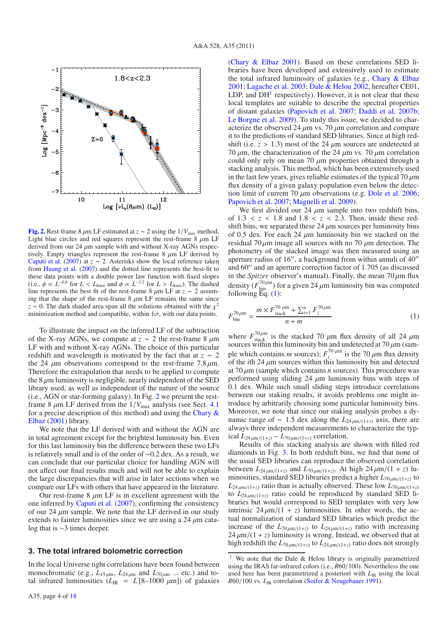

**[Fig. 2.](http://dexter.edpsciences.org/applet.php?DOI=10.1051/0004-6361/200913941&pdf_id=2)** Rest-frame 8  $\mu$ m LF estimated at *z* ∼ 2 using the 1/ $V_{\text{max}}$  method. Light blue circles and red squares represent the rest-frame  $8 \mu m$  LF derived from our 24  $\mu$ m sample with and without X-ray AGNs respectively. Empty triangles represent the rest-frame  $8 \mu m$  LF derived by Caputi et al. (2007) at  $z \sim 2$ . Asterisks show the local reference taken from Huang et al. (2007) and the dotted line represents the best-fit to these data points with a double power law function with fixed slopes (i.e.,  $\phi \propto L^{-0.8}$  for  $L < L_{\text{knee}}$  and  $\phi \propto L^{-3.2}$  for  $L > L_{\text{knee}}$ ). The dashed line represents the best fit of the rest-frame 8  $\mu$ m LF at *z* ~ 2 assuming that the shape of the rest-frame  $8 \mu m$  LF remains the same since  $z \sim 0$ . The dark shaded area span all the solutions obtained with the  $\chi^2$ minimization method and compatible, within  $1\sigma$ , with our data points.

To illustrate the impact on the inferred LF of the subtraction of the X-ray AGNs, we compute at  $z \sim 2$  the rest-frame 8  $\mu$ m LF with and without X-ray AGNs. The choice of this particular redshift and wavelength is motivated by the fact that at *<sup>z</sup>* <sup>∼</sup> <sup>2</sup> the 24  $\mu$ m observations correspond to the rest-frame 7.8  $\mu$ m. Therefore the extrapolation that needs to be applied to compute the  $8 \mu$ m luminosity is negligible, nearly independent of the SED library used, as well as independent of the nature of the source (i.e., AGN or star-forming galaxy). In Fig. 2 we present the restframe 8  $\mu$ m LF derived from the  $1/V_{\text{max}}$  analysis (see Sect. 4.1) for a precise description of this method) and using the Chary & Elbaz (2001) library.

We note that the LF derived with and without the AGN are in total agreement except for the brightest luminosity bin. Even for this last luminosity bin the difference between these two LFs is relatively small and is of the order of <sup>∼</sup>0.2 dex. As a result, we can conclude that our particular choice for handling AGN will not affect our final results much and will not be able to explain the large discrepancies that will arise in later sections when we compare our LFs with others that have appeared in the literature.

Our rest-frame  $8 \mu m$  LF is in excellent agreement with the one inferred by Caputi et al. (2007), confirming the consistency of our 24  $\mu$ m sample. We note that the LF derived in our study extends to fainter luminosities since we are using a  $24 \mu$ m catalog that is ∼3 times deeper.

#### **3. The total infrared bolometric correction**

In the local Universe tight correlations have been found between monochromatic (e.g.,  $L_{15\mu m}$ ,  $L_{24\mu m}$  and  $L_{70\mu m}$  ... etc.) and total infrared luminosities  $(L_{\text{IR}} = L[8-1000 \mu m])$  of galaxies (Chary & Elbaz 2001). Based on these correlations SED libraries have been developed and extensively used to estimate the total infrared luminosity of galaxies (e.g., Chary & Elbaz 2001; Lagache et al. 2003; Dale & Helou 2002, hereafter CE01, LDP, and  $DH<sup>1</sup>$  respectively). However, it is not clear that these local templates are suitable to describe the spectral properties of distant galaxies (Papovich et al. 2007; Daddi et al. 2007b; Le Borgne et al. 2009). To study this issue, we decided to characterize the observed 24  $\mu$ m vs. 70  $\mu$ m correlation and compare it to the predictions of standard SED libraries. Since at high redshift (i.e.  $z > 1.3$ ) most of the 24  $\mu$ m sources are undetected at 70  $\mu$ m, the characterization of the 24  $\mu$ m vs. 70  $\mu$ m correlation could only rely on mean 70  $\mu$ m properties obtained through a stacking analysis. This method, which has been extensively used in the last few years, gives reliable estimates of the typical  $70 \mu m$ flux density of a given galaxy population even below the detection limit of current 70  $\mu$ m observations (e.g. Dole et al. 2006; Papovich et al. 2007; Magnelli et al. 2009).

We first divided our 24  $\mu$ m sample into two redshift bins, of  $1.3 < z < 1.8$  and  $1.8 < z < 2.3$ . Then, inside these redshift bins, we separated these  $24 \mu m$  sources per luminosity bins of 0.5 dex. For each 24  $\mu$ m luminosity bin we stacked on the residual 70  $\mu$ m image all sources with no 70  $\mu$ m detection. The photometry of the stacked image was then measured using an aperture radius of 16", a background from within annuli of  $40''$ and  $60''$  and an aperture correction factor of 1.705 (as discussed in the *Spitzer* observer's manual). Finally, the mean  $70 \mu m$  flux density  $(F_{\text{bin}}^{70\mu\text{m}})$  for a given 24  $\mu$ m luminosity bin was computed following  $F_{\text{G}}(1)$ . following  $\overline{Eq}$ . (1):

$$
F_{\text{bin}}^{70\,\mu\text{m}} = \frac{m \times F_{\text{stack}}^{70\,\mu\text{m}} + \sum_{i=1}^{n} F_{i}^{70\,\mu\text{m}}}{n + m} \tag{1}
$$

where  $F_{\text{stack}}^{70 \mu \text{m}}$  is the stacked 70  $\mu$ m flux density of all 24  $\mu$ m<br>sources within this luminosity bin and undetected at 70  $\mu$ m (samsources within this luminosity bin and undetected at 70  $\mu$ m (sam-<br>ple which contains *m* sources);  $F_i^{70 \mu m}$  is the 70  $\mu$ m flux density<br>of the *i*th 24  $\mu$ m sources within this luminosity bin and detected of the *i*th 24  $\mu$ m sources within this luminosity bin and detected at  $70 \mu m$  (sample which contains *n* sources). This procedure was performed using sliding 24  $\mu$ m luminosity bins with steps of 0.1 dex. While such small sliding steps introduce correlations between our staking results, it avoids problems one might introduce by arbitrarily choosing some particular luminosity bins. Moreover, we note that since our staking analysis probes a dynamic range of <sup>∼</sup> <sup>1</sup>.5 dex along the *<sup>L</sup>*<sup>24</sup> μm/(1+*z*) axis, there are always three independent measurements to characterize the typical  $L_{24 \mu m/(1+z)} - L_{70 \mu m/(1+z)}$  correlation.

Results of this stacking analysis are shown with filled red diamonds in Fig. 3. In both redshift bins, we find that none of the usual SED libraries can reproduce the observed correlation between  $L_{24 \mu m/(1+z)}$  and  $L_{70 \mu m/(1+z)}$ . At high  $24 \mu m/(1+z)$  luminosities, standard SED libraries predict a higher *<sup>L</sup>*<sup>70</sup> μm/(1+*z*) to  $L_{24 \mu m/(1+z)}$  ratio than is actually observed. These low  $L_{70 \mu m/(1+z)}$ to  $L_{24 \mu m/(1+z)}$  ratio could be reproduced by standard SED libraries but would correspond to SED templates with very low intrinsic  $24 \mu m/(1 + z)$  luminosities. In other words, the actual normalization of standard SED libraries which predict the increase of the  $L_{70 \mu m/(1+z)}$  to  $L_{24 \mu m/(1+z)}$  ratio with increasing  $24 \mu m/(1 + z)$  luminosity is wrong. Instead, we observed that at high redshift the  $L_{70 \mu m/(1+z)}$  to  $L_{24 \mu m/(1+z)}$  ratio does not strongly

<sup>&</sup>lt;sup>1</sup> We note that the Dale & Helou library is originally parametrized using the IRAS far-infrared colors (i.e., *<sup>R</sup>*60/100). Nevertheless the one used here has been parametrized a posteriori with *L*IR using the local *<sup>R</sup>*60/100 vs. *<sup>L</sup>*IR correlation (Soifer & Neugebauer 1991).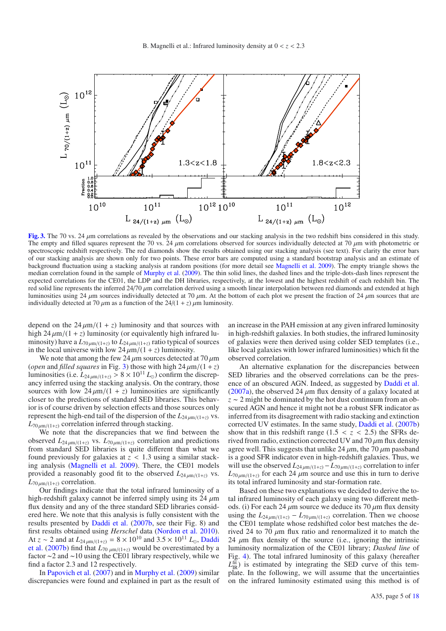

**[Fig. 3.](http://dexter.edpsciences.org/applet.php?DOI=10.1051/0004-6361/200913941&pdf_id=3)** The 70 vs. 24 μm correlations as revealed by the observations and our stacking analysis in the two redshift bins considered in this study. The empty and filled squares represent the 70 vs. 24  $\mu$ m correlations observed for sources individually detected at 70  $\mu$ m with photometric or spectroscopic redshift respectively. The red diamonds show the results obtained using our stacking analysis (see text). For clarity the error bars of our stacking analysis are shown only for two points. These error bars are computed using a standard bootstrap analysis and an estimate of background fluctuation using a stacking analysis at random positions (for more detail see Magnelli et al. 2009). The empty triangle shows the median correlation found in the sample of Murphy et al. (2009). The thin solid lines, the dashed lines and the triple-dots-dash lines represent the expected correlations for the CE01, the LDP and the DH libraries, respectively, at the lowest and the highest redshift of each redshift bin. The red solid line represents the inferred 24/<sup>70</sup> μm correlation derived using a smooth linear interpolation between red diamonds and extended at high luminosities using 24  $\mu$ m sources individually detected at 70  $\mu$ m. At the bottom of each plot we present the fraction of 24  $\mu$ m sources that are individually detected at 70  $\mu$ m as a function of the 24/(1 + *z*)  $\mu$ m luminosity.

depend on the  $24 \mu m/(1 + z)$  luminosity and that sources with high  $24 \mu m/(1 + z)$  luminosity (or equivalently high infrared luminosity) have a  $L_{70 \mu m/(1+z)}$  to  $L_{24 \mu m/(1+z)}$  ratio typical of sources in the local universe with low  $24 \mu m/(1 + z)$  luminosity.

We note that among the few 24  $\mu$ m sources detected at 70  $\mu$ m (*open* and *filled squares* in Fig. 3) those with high  $24 \mu m/(1 + z)$ luminosities (i.e.  $L_{24 \mu m/(1+z)} > 8 \times 10^{11} L_{\odot}$ ) confirm the discrepancy inferred using the stacking analysis. On the contrary, those sources with low  $24 \mu m/(1 + z)$  luminosities are significantly closer to the predictions of standard SED libraries. This behavior is of course driven by selection effects and those sources only represent the high-end tail of the dispersion of the  $L_{24 \mu m/(1+z)}$  vs.  $L_{70 \mu m/(1+z)}$  correlation inferred through stacking.

We note that the discrepancies that we find between the observed  $L_{24\mu m/(1+z)}$  vs.  $L_{70\mu m/(1+z)}$  correlation and predictions from standard SED libraries is quite different than what we found previously for galaxies at  $z < 1.3$  using a similar stacking analysis (Magnelli et al. 2009). There, the CE01 models provided a reasonably good fit to the observed  $L_{24 \mu m/(1+z)}$  vs.  $L_{70\mu m/(1+z)}$  correlation.

Our findings indicate that the total infrared luminosity of a high-redshift galaxy cannot be inferred simply using its 24  $\mu$ m flux density and any of the three standard SED libraries considered here. We note that this analysis is fully consistent with the results presented by Daddi et al. (2007b, see their Fig. 8) and first results obtained using *Herschel* data (Nordon et al. 2010). At  $z \sim 2$  and at  $L_{24\mu\text{m}/(1+z)} = 8 \times 10^{10}$  and  $3.5 \times 10^{11}$   $L_{\odot}$ , Daddiet al. (2007b) find that  $L_{20\mu\text{m}/(1+z)}$  would be overestimated by a et al. (2007b) find that  $L_{70 \mu m/(1+z)}$  would be overestimated by a fector  $\epsilon$ -2 and  $\epsilon$ -10 using the CE01 library respectively while we factor <sup>∼</sup>2 and <sup>∼</sup>10 using the CE01 library respectively, while we find a factor 2.3 and 12 respectively.

In Papovich et al. (2007) and in Murphy et al. (2009) similar discrepancies were found and explained in part as the result of an increase in the PAH emission at any given infrared luminosity in high-redshift galaxies. In both studies, the infrared luminosity of galaxies were then derived using colder SED templates (i.e., like local galaxies with lower infrared luminosities) which fit the observed correlation.

An alternative explanation for the discrepancies between SED libraries and the observed correlations can be the presence of an obscured AGN. Indeed, as suggested by Daddi et al. (2007a), the observed 24  $\mu$ m flux density of a galaxy located at *<sup>z</sup>* <sup>∼</sup> 2 might be dominated by the hot dust continuum from an obscured AGN and hence it might not be a robust SFR indicator as inferred from its disagreement with radio stacking and extinction corrected UV estimates. In the same study, Daddi et al. (2007b) show that in this redshift range  $(1.5 < z < 2.5)$  the SFRs derived from radio, extinction corrected UV and  $70 \mu m$  flux density agree well. This suggests that unlike 24  $\mu$ m, the 70  $\mu$ m passband is a good SFR indicator even in high-redshift galaxies. Thus, we will use the observed  $L_{24 \mu m/(1+z)} - L_{70 \mu m/(1+z)}$  correlation to infer  $L_{70 \mu m/(1+z)}$  for each 24  $\mu$ m source and use this in turn to derive its total infrared luminosity and star-formation rate.

Based on these two explanations we decided to derive the total infrared luminosity of each galaxy using two different methods. (i) For each 24  $\mu$ m source we deduce its 70  $\mu$ m flux density using the  $L_{24 \mu m/(1+z)} - L_{70 \mu m/(1+z)}$  correlation. Then we choose the CE01 template whose redshifted color best matches the derived 24 to 70  $\mu$ m flux ratio and renormalized it to match the 24  $\mu$ m flux density of the source (i.e., ignoring the intrinsic luminosity normalization of the CE01 library; *Dashed line* of Fig. 4). The total infrared luminosity of this galaxy (hereafter  $L_{IR}^{fit}$ ) is estimated by integrating the SED curve of this template. In the following, we will assume that the uncertainties on the infrared luminosity estimated using this method is of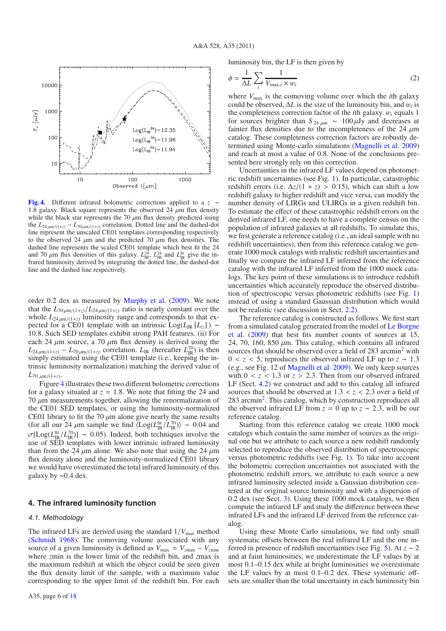

**[Fig. 4.](http://dexter.edpsciences.org/applet.php?DOI=10.1051/0004-6361/200913941&pdf_id=4)** Different infrared bolometric corrections applied to a *<sup>z</sup>* <sup>∼</sup> 1.8 galaxy. Black square represents the observed 24  $\mu$ m flux density while the black star represents the 70  $\mu$ m flux density predicted using the  $L_{24\mu m/(1+z)} - L_{70\mu m/(1+z)}$  correlation. Dotted line and the dashed-dot line represent the unscaled CE01 templates corresponding respectively to the observed 24  $\mu$ m and the predicted 70  $\mu$ m flux densities. The dashed line represents the scaled CE01 template which best fit the 24 and 70  $\mu$ m flux densities of this galaxy.  $L_{\text{IR}}^{24}$ ,  $L_{\text{IR}}^{24}$  and  $L_{\text{IR}}^{\text{fit}}$  give the in-<br>frared luminosity derived by integrating the dotted line, the dashed-dot frared luminosity derived by integrating the dotted line, the dashed-dot line and the dashed line respectively.

order 0.2 dex as measured by Murphy et al. (2009). We note that the  $L_{70 \mu m/(1+z)}/L_{24 \mu m/(1+z)}$  ratio is nearly constant over the whole  $L_{24 \mu m/(1+z)}$  luminosity range and corresponds to that expected for a CE01 template with an intrinsic Log( $L_{IR}$ [ $L_{\odot}$ ]) ~ <sup>10</sup>.8. Such SED templates exhibit strong PAH features. (ii) For each 24  $\mu$ m source, a 70  $\mu$ m flux density is derived using the  $L_{24\mu\text{m}/(1+z)} - L_{70\mu\text{m}/(1+z)}$  correlation.  $L_{IR}$  (hereafter  $L_{IR}^{70}$ ) is then<br>simply estimated using the CEO1 template (i.e., keeping the in simply estimated using the CE01 template (i.e., keeping the intrinsic luminosity normalization) matching the derived value of  $L_{70 \mu m/(1+z)}$ .

Figure 4 illustrates these two different bolometric corrections for a galaxy situated at  $z = 1.8$ . We note that fitting the 24 and 70  $\mu$ m measurements together, allowing the renormalization of the CE01 SED templates, or using the luminosity-normalized CE01 library to fit the 70  $\mu$ m alone give nearly the same results (for all our 24  $\mu$ m sample we find  $\langle$ Log( $L_{IR}^{fit}/L_{IR}^{70}$ )) ~ 0.04 and  $\sigma$ <sup>[[</sup> $\sigma$ ]( $L_{IR}^{fit}/L_{IR}^{70}$ )] ~ 0.04 and  $\sigma$ <sup>[[</sup> $\sigma$ ]( $L_{IR}^{fit}/L_{IR}^{70}$ )] ~ 0.04 and  $\sigma$ [Log( $L_{IR}^{fit}/L_{IR}^{70}$ ] ~ 0.05). Indeed, both techniques involve the use of SED templates with lower intrinsic infrared luminosity use of SED templates with lower intrinsic infrared luminosity than from the 24  $\mu$ m alone. We also note that using the 24  $\mu$ m flux density alone and the luminosity-normalized CE01 library we would have overestimated the total infrared luminosity of this galaxy by <sup>∼</sup>0.4 dex.

# **4. The infrared luminosity function**

#### 4.1. Methodology

The infrared LFs are derived using the standard  $1/V_{\text{max}}$  method (Schmidt 1968). The comoving volume associated with any source of a given luminosity is defined as  $V_{\text{max}} = V_{\text{zmax}} - V_{\text{zmin}}$ where *z*min is the lower limit of the redshift bin, and *z*max is the maximum redshift at which the object could be seen given the flux density limit of the sample, with a maximum value corresponding to the upper limit of the redshift bin. For each luminosity bin, the LF is then given by

$$
\phi = \frac{1}{\Delta L} \sum_{i} \frac{1}{V_{\text{max},i} \times w_i} \tag{2}
$$

where  $V_{\text{max}}$  is the comoving volume over which the *i*th galaxy could be observed,  $\Delta L$  is the size of the luminosity bin, and  $w_i$  is the completeness correction factor of the *<sup>i</sup>*th galaxy. <sup>w</sup>*<sup>i</sup>* equals 1 for sources brighter than  $S_{24 \mu m} \sim 100 \mu Jy$  and decreases at fainter flux densities due to the incompleteness of the 24  $\mu$ m catalog. These completeness correction factors are robustly determined using Monte-carlo simulations (Magnelli et al. 2009) and reach at most a value of 0.8. None of the conclusions presented here strongly rely on this correction.

Uncertainties in the infrared LF values depend on photometric redshift uncertainties (see Fig. 1). In particular, catastrophic redshift errors (i.e.  $\Delta z/(1 + z) > 0.15$ ), which can shift a low redshift galaxy to higher redshift and vice versa, can modify the number density of LIRGs and ULIRGs in a given redshift bin. To estimate the effect of these catastrophic redshift errors on the derived infrared LF, one needs to have a complete census on the population of infrared galaxies at all redshifts. To simulate this, we first generate a reference catalog (i.e., an ideal sample with no redshift uncertainties), then from this reference catalog we generate 1000 mock catalogs with realistic redshift uncertainties and finally we compare the infrared LF inferred from the reference catalog with the infrared LF inferred from the 1000 mock catalogs. The key point of these simulations is to introduce redshift uncertainties which accurately reproduce the observed distribution of spectroscopic versus photometric redshifts (see Fig. 1) instead of using a standard Gaussian distribution which would not be realistic (see discussion in Sect. 2.2).

The reference catalog is constructed as follows. We first start from a simulated catalog generated from the model of Le Borgne et al. (2009) that best fits number counts of sources at 15, 24, 70, 160, 850  $\mu$ m. This catalog, which contains all infrared sources that should be observed over a field of 283 arcmin<sup>2</sup> with <sup>0</sup> < *<sup>z</sup>* < 5, reproduces the observed infrared LF up to *<sup>z</sup>* <sup>∼</sup> <sup>1</sup>.<sup>3</sup> (e.g., see Fig. 12 of Magnelli et al. 2009). We only keep sources with  $0 < z < 1.3$  or  $z > 2.3$ . Then from our observed infrared LF (Sect. 4.2) we construct and add to this catalog all infrared sources that should be observed at  $1.3 < z < 2.3$  over a field of 283 arcmin2. This catalog, which by construction reproduces all the observed infrared LF from  $z = 0$  up to  $z \sim 2.3$ , will be our reference catalog.

Starting from this reference catalog we create 1000 mock catalogs which contain the same number of sources as the original one but we attribute to each source a new redshift randomly selected to reproduce the observed distribution of spectroscopic versus photometric redshifts (see Fig. 1). To take into account the bolometric correction uncertainties not associated with the photometric redshift errors, we attribute to each source a new infrared luminosity selected inside a Gaussian distribution centered at the original source luminosity and with a dispersion of 0.2 dex (see Sect. 3). Using these 1000 mock catalogs, we then compute the infrared LF and study the difference between these infrared LFs and the infrared LF derived from the reference catalog.

Using these Monte Carlo simulations, we find only small systematic offsets between the real infrared LF and the one inferred in presence of redshift uncertainties (see Fig. 5). At *<sup>z</sup>* <sup>∼</sup> <sup>2</sup> and at faint luminosities, we underestimate the LF values by at most 0.1–0.15 dex while at bright luminosities we overestimate the LF values by at most 0.1–0.2 dex. These systematic offsets are smaller than the total uncertainty in each luminosity bin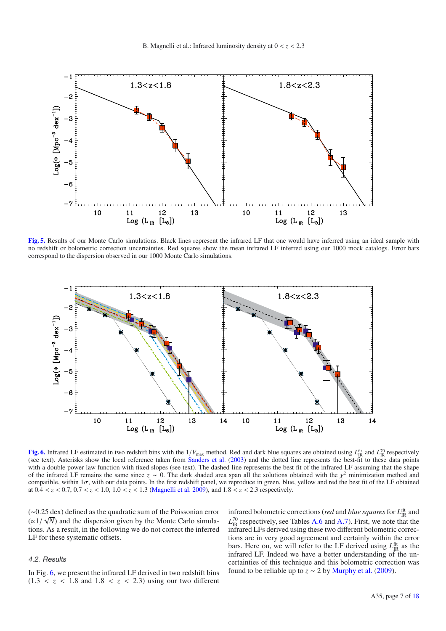

**[Fig. 5.](http://dexter.edpsciences.org/applet.php?DOI=10.1051/0004-6361/200913941&pdf_id=5)** Results of our Monte Carlo simulations. Black lines represent the infrared LF that one would have inferred using an ideal sample with no redshift or bolometric correction uncertainties. Red squares show the mean infrared LF inferred using our 1000 mock catalogs. Error bars correspond to the dispersion observed in our 1000 Monte Carlo simulations.



**[Fig. 6.](http://dexter.edpsciences.org/applet.php?DOI=10.1051/0004-6361/200913941&pdf_id=6)** Infrared LF estimated in two redshift bins with the  $1/V_{\text{max}}$  method. Red and dark blue squares are obtained using  $L_{IR}^{\text{fit}}$  and  $L_{IR}^{\text{70}}$  respectively (see text). Asterisks show the local reference take (see text). Asterisks show the local reference taken from Sanders et al. (2003) and the dotted line represents the best-fit to these data points with a double power law function with fixed slopes (see text). The dashed line represents the best fit of the infrared LF assuming that the shape of the infrared LF remains the same since  $z \sim 0$ . The dark shaded area span all the solutions obtained with the  $\chi^2$  minimization method and compatible, within  $1\sigma$ , with our data points. In the first redshift panel, we reproduce in green, blue, yellow and red the best fit of the LF obtained at 0.<sup>4</sup> < *<sup>z</sup>* < <sup>0</sup>.7, 0.<sup>7</sup> < *<sup>z</sup>* < <sup>1</sup>.0, 1.<sup>0</sup> < *<sup>z</sup>* < <sup>1</sup>.3 (Magnelli et al. 2009), and 1.<sup>8</sup> < *<sup>z</sup>* < <sup>2</sup>.3 respectively.

(∼0.25 dex) defined as the quadratic sum of the Poissonian error  $(\alpha 1/\sqrt{N})$  and the dispersion given by the Monte Carlo simulations. As a result in the following we do not correct the inferred tions. As a result, in the following we do not correct the inferred LF for these systematic offsets.

# 4.2. Results

In Fig. 6, we present the infrared LF derived in two redshift bins  $(1.3 < z < 1.8$  and  $1.8 < z < 2.3$ ) using our two different

infrared bolometric corrections (*red* and *blue squares* for  $L_{\text{IR}}^{\text{fit}}$  and  $L_{IR}^{70}$  respectively, see Tables A.6 and A.7). First, we note that the infrared LFs derived using these two different bolometric corrections are in very good agreement and certainly within the error bars. Here on, we will refer to the LF derived using  $L_{IR}^{fit}$  as the infrared LF. Indeed we have a better understanding of the uncertainties of this technique and this bolometric correction was found to be reliable up to  $\overline{z} \sim 2$  by Murphy et al. (2009).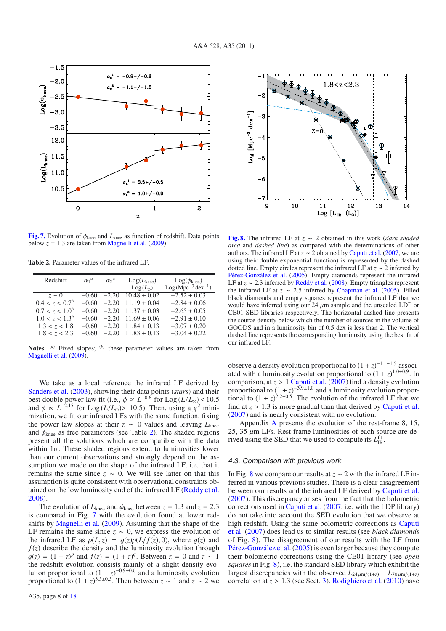

**[Fig. 7.](http://dexter.edpsciences.org/applet.php?DOI=10.1051/0004-6361/200913941&pdf_id=7)** Evolution of <sup>φ</sup>knee and *<sup>L</sup>*knee as function of redshift. Data points below  $z = 1.3$  are taken from Magnelli et al. (2009).

**Table 2.** Parameter values of the infrared LF.

| Redshift                   | $\alpha_1^a$ | $\alpha$ <sup>2</sup> | Log(L <sub>knee</sub> ) | $Log(\phi_{\text{knee}})$ |
|----------------------------|--------------|-----------------------|-------------------------|---------------------------|
|                            |              |                       | $Log(L_{\odot})$        | $Log(Mpc^{-3} dex^{-1})$  |
| $z \sim 0$                 | $-0.60$      | $-2.20$               | $10.48 + 0.02$          | $-2.52 \pm 0.03$          |
| 0.4 < z < 0.7 <sup>b</sup> | $-0.60$      | $-2.20$               | $11.19 \pm 0.04$        | $-2.84 \pm 0.06$          |
| $0.7 < z < 1.0^b$          | $-0.60$      | $-2.20$               | $11.37 + 0.03$          | $-2.65 \pm 0.05$          |
| $1.0 < z < 1.3^b$          | $-0.60$      | $-2.20$               | $11.69 \pm 0.06$        | $-2.91 \pm 0.10$          |
| 1.3 < z < 1.8              | $-0.60$      | $-2.20$               | $11.84 \pm 0.13$        | $-3.07 \pm 0.20$          |
| 1.8 < z < 2.3              | $-0.60$      | $-2.20$               | $11.83 \pm 0.13$        | $-3.04 \pm 0.22$          |
|                            |              |                       |                         |                           |

**Notes.** (*a*) Fixed slopes; (*b*) these parameter values are taken from Magnelli et al. (2009).

We take as a local reference the infrared LF derived by Sanders et al. (2003), showing their data points (*stars*) and their best double power law fit (i.e.,  $\phi \propto L^{-0.6}$  for  $\text{Log}(L/L_{\odot}) < 10.5$ <br>and  $\phi \propto L^{-2.15}$  for  $\text{Log}(L/L_{\odot}) > 10.5$ ). Then using a  $v^2$  miniand  $\phi \propto L^{-2.15}$  for  $\text{Log}(L/L_{\odot}) > 10.5$ ). Then, using a  $\chi^2$  mini-<br>mization we fit our infrared LFs with the same function fixing mization, we fit our infrared LFs with the same function, fixing the power law slopes at their  $z \sim 0$  values and leaving  $L_{\text{knee}}$ and  $\phi_{\text{knee}}$  as free parameters (see Table 2). The shaded regions present all the solutions which are compatible with the data within  $1\sigma$ . These shaded regions extend to luminosities lower than our current observations and strongly depend on the assumption we made on the shape of the infrared LF, i.e. that it remains the same since  $z \sim 0$ . We will see latter on that this assumption is quite consistent with observational constraints obtained on the low luminosity end of the infrared LF (Reddy et al. 2008).

The evolution of  $L_{\text{knee}}$  and  $\phi_{\text{knee}}$  between  $z = 1.3$  and  $z = 2.3$ is compared in Fig. 7 with the evolution found at lower redshifts by Magnelli et al. (2009). Assuming that the shape of the LF remains the same since  $z \sim 0$ , we express the evolution of the infrared LF as  $\rho(L, z) = g(z)\rho(L/f(z), 0)$ , where  $g(z)$  and  $f(z)$  describe the density and the luminosity evolution through  $g(z) = (1 + z)^p$  and  $f(z) = (1 + z)^q$ . Between  $z = 0$  and  $z \sim 1$ <br>the redshift evolution consists mainly of a slight density evothe redshift evolution consists mainly of a slight density evolution proportional to  $(1 + z)^{-0.9\pm0.6}$  and a luminosity evolution proportional to  $(1 + z)^{3.5\pm0.5}$ . Then between  $z \sim 1$  and  $z \sim 2$  we



**[Fig. 8.](http://dexter.edpsciences.org/applet.php?DOI=10.1051/0004-6361/200913941&pdf_id=8)** The infrared LF at *<sup>z</sup>* <sup>∼</sup> 2 obtained in this work (*dark shaded area* and *dashed line*) as compared with the determinations of other authors. The infrared LF at  $z \sim 2$  obtained by Caputi et al. (2007, we are using their double exponential function) is represented by the dashed dotted line. Empty circles represent the infrared LF at *<sup>z</sup>* <sup>∼</sup> 2 inferred by Pérez-González et al. (2005). Empty diamonds represent the infrared LF at *<sup>z</sup>* <sup>∼</sup> <sup>2</sup>.3 inferred by Reddy et al. (2008). Empty triangles represent the infrared LF at  $z \sim 2.5$  inferred by Chapman et al. (2005). Filled black diamonds and empty squares represent the infrared LF that we would have inferred using our  $24 \mu m$  sample and the unscaled LDP or CE01 SED libraries respectively. The horizontal dashed line presents the source density below which the number of sources in the volume of GOODS and in a luminosity bin of 0.5 dex is less than 2. The vertical dashed line represents the corresponding luminosity using the best fit of our infrared LF.

observe a density evolution proportional to  $(1 + z)^{-1.1 \pm 1.5}$  associated with a luminosity evolution proportional to  $(1 + z)^{1.0 \pm 0.9}$ . In comparison, at *z* > 1 Caputi et al. (2007) find a density evolution proportional to  $(1+z)^{-3.9\pm1.0}$  and a luminosity evolution proportional to  $(1 + z)^{2.2 \pm 0.5}$ . The evolution of the infrared LF that we find at  $z > 1.3$  is more gradual than that derived by Caputi et al. (2007) and is nearly consistent with no evolution.

Appendix A presents the evolution of the rest-frame 8, 15, 25, 35  $\mu$ m LFs. Rest-frame luminosities of each source are derived using the SED that we used to compute its  $L_{\text{IR}}^{\text{fit}}$ .

### 4.3. Comparison with previous work

In Fig. 8 we compare our results at  $z \sim 2$  with the infrared LF inferred in various previous studies. There is a clear disagreement between our results and the infrared LF derived by Caputi et al. (2007). This discrepancy arises from the fact that the bolometric corrections used in Caputi et al. (2007, i.e. with the LDP library) do not take into account the SED evolution that we observe at high redshift. Using the same bolometric corrections as Caputi et al. (2007) does lead us to similar results (see *black diamonds* of Fig. 8). The disagreement of our results with the LF from Pérez-González et al. (2005) is even larger because they compute their bolometric corrections using the CE01 library (see *open squares*in Fig. 8), i.e. the standard SED library which exhibit the largest discrepancies with the observed  $L_{24 \mu m/(1+z)} - L_{70 \mu m/(1+z)}$ correlation at *<sup>z</sup>* > <sup>1</sup>.3 (see Sect. 3). Rodighiero et al. (2010) have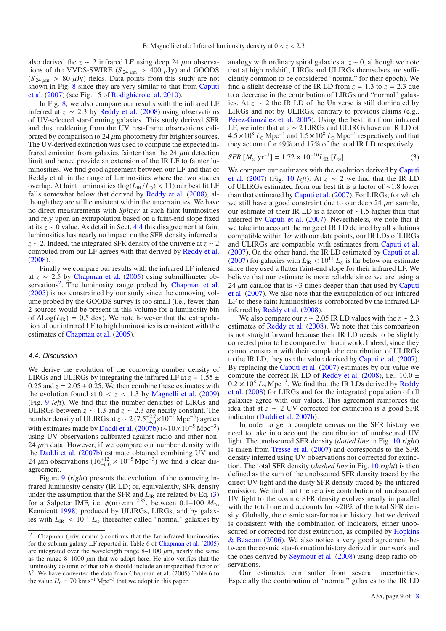also derived the  $z \sim 2$  infrared LF using deep 24  $\mu$ m observations of the VVDS-SWIRE ( $S_{24 \mu m} > 400 \mu Jy$ ) and GOODS  $(S_{24 \mu m} > 80 \mu Jy)$  fields. Data points from this study are not shown in Fig. 8 since they are very similar to that from Caputi et al. (2007) (see Fig. 15 of Rodighiero et al. 2010).

In Fig. 8, we also compare our results with the infrared LF inferred at  $z \sim 2.3$  by Reddy et al. (2008) using observations of UV-selected star-forming galaxies. This study derived SFR and dust reddening from the UV rest-frame observations calibrated by comparison to 24  $\mu$ m photometry for brighter sources. The UV-derived extinction was used to compute the expected infrared emission from galaxies fainter than the 24  $\mu$ m detection limit and hence provide an extension of the IR LF to fainter luminosities. We find good agreement between our LF and that of Reddy et al. in the range of luminosities where the two studies overlap. At faint luminosities  $(\log(L_R/L_{\odot}) < 11)$  our best fit LF falls somewhat below that derived by Reddy et al. (2008), although they are still consistent within the uncertainties. We have no direct measurements with *Spitzer* at such faint luminosities and rely upon an extrapolation based on a faint-end slope fixed at its *z* ∼ 0 value. As detail in Sect. 4.4 this disagreement at faint luminosities has nearly no impact on the SFR density inferred at *<sup>z</sup>* <sup>∼</sup> 2. Indeed, the integrated SFR density of the universe at *<sup>z</sup>* <sup>∼</sup> <sup>2</sup> computed from our LF agrees with that derived by Reddy et al. (2008).

Finally we compare our results with the infrared LF inferred at  $z \sim 2.5$  by Chapman et al. (2005) using submillimeter observations<sup>2</sup>. The luminosity range probed by Chapman et al. (2005) is not constrained by our study since the comoving volume probed by the GOODS survey is too small (i.e., fewer than 2 sources would be present in this volume for a luminosity bin of  $\Delta$ Log( $L_{IR}$ ) = 0.5 dex). We note however that the extrapolation of our infrared LF to high luminosities is consistent with the estimates of Chapman et al. (2005).

### 4.4. Discussion

We derive the evolution of the comoving number density of LIRGs and ULIRGs by integrating the infrared LF at  $z = 1.55 \pm 1.55$ 0.25 and  $z = 2.05 \pm 0.25$ . We then combine these estimates with the evolution found at  $0 < z < 1.3$  by Magnelli et al. (2009) (Fig. 9 *left*). We find that the number densities of LIRGs and ULIRGs between  $z \sim 1.3$  and  $z \sim 2.3$  are nearly constant. The number density of ULIRGs at  $z \sim 2 (7.5^{+2.7}_{-4.0} \times 10^{-5}$  Mpc<sup>-3</sup>) agrees with estimates made by Daddi et al. (2007b) (~10×10<sup>-5</sup> Mpc<sup>-3</sup>) using UV observations calibrated against radio and other non-24  $\mu$ m data. However, if we compare our number density with the Daddi et al. (2007b) estimate obtained combining UV and 24  $\mu$ m observations (16<sup>+12</sup> × 10<sup>-5</sup> Mpc<sup>-3</sup>) we find a clear dis-<br>agreement. agreement.

Figure 9 (*right*) presents the evolution of the comoving infrared luminosity density (IR LD; or, equivalently, SFR density under the assumption that the SFR and *L*IR are related by Eq. (3) for a Salpeter IMF, i.e.  $\phi(m) \propto m^{-2.35}$ , between 0.1–100  $M_{\odot}$ , Kennicutt 1998) produced by ULIRGs, LIRGs, and by galaxies with  $L_{\text{IR}} < 10^{11} L_{\odot}$  (hereafter called "normal" galaxies by

analogy with ordinary spiral galaxies at *<sup>z</sup>* <sup>∼</sup> 0, although we note that at high redshift, LIRGs and ULIRGs themselves are sufficiently common to be considered "normal" for their epoch). We find a slight decrease of the IR LD from  $z = 1.3$  to  $z = 2.3$  due to a decrease in the contribution of LIRGs and "normal" galaxies. At  $z \sim 2$  the IR LD of the Universe is still dominated by LIRGs and not by ULIRGs, contrary to previous claims (e.g., Pérez-González et al. 2005). Using the best fit of our infrared LF, we infer that at *<sup>z</sup>* <sup>∼</sup> 2 LIRGs and ULIRGs have an IR LD of  $4.5 \times 10^8$  *L*<sub> $\odot$ </sub> Mpc<sup>-1</sup> and  $1.5 \times 10^8$  *L*<sub> $\odot$ </sub> Mpc<sup>-1</sup> respectively and that they account for 49% and 17% of the total IR LD respectively.

$$
SFR \, [M_{\odot} \, yr^{-1}] = 1.72 \times 10^{-10} L_{IR} \, [L_{\odot}]. \tag{3}
$$

We compare our estimates with the evolution derived by Caputi et al. (2007) (Fig. <sup>10</sup> *left*). At *<sup>z</sup>* <sup>∼</sup> 2 we find that the IR LD of ULIRGs estimated from our best fit is a factor of <sup>∼</sup>1.8 lower than that estimated by Caputi et al. (2007). For LIRGs, for which we still have a good constraint due to our deep 24  $\mu$ m sample, our estimate of their IR LD is a factor of <sup>∼</sup>1.5 higher than that inferred by Caputi et al. (2007). Nevertheless, we note that if we take into account the range of IR LD defined by all solutions compatible within  $1\sigma$  with our data points, our IR LDs of LIRGs and ULIRGs are compatible with estimates from Caputi et al. (2007). On the other hand, the IR LD estimated by Caputi et al. (2007). On the other hand, the IR ED estimated by each of the (2007) for galaxies with  $L_{\text{IR}} < 10^{11} L_{\odot}$  is far below our estimate since they used a flatter faint-end slope for their infrared LF. We believe that our estimate is more reliable since we are using a 24 μm catalog that is  $\sim$ 3 times deeper than that used by Caputi et al. (2007). We also note that the extrapolation of our infrared LF to these faint luminosities is corroborated by the infrared LF inferred by Reddy et al. (2008).

We also compare our  $z \sim 2.05$  IR LD values with the  $z \sim 2.3$ estimates of Reddy et al. (2008). We note that this comparison is not straightforward because their IR LD needs to be slightly corrected prior to be compared with our work. Indeed, since they cannot constrain with their sample the contribution of ULIRGs to the IR LD, they use the value derived by Caputi et al. (2007). By replacing the Caputi et al. (2007) estimates by our value we compute the correct IR LD of Reddy et al. (2008), i.e.,  $10.0 \pm$  $0.2 \times 10^8$  L<sub>o</sub> Mpc<sup>-3</sup>. We find that the IR LDs derived by Reddy et al. (2008) for LIRGs and for the integrated population of all galaxies agree with our values. This agreement reinforces the idea that at  $z \sim 2$  UV corrected for extinction is a good SFR indicator (Daddi et al. 2007b).

In order to get a complete census on the SFR history we need to take into account the contribution of unobscured UV light. The unobscured SFR density (*dotted line* in Fig. 10 *right*) is taken from Tresse et al. (2007) and corresponds to the SFR density inferred using UV observations not corrected for extinction. The total SFR density (*dashed line* in Fig. 10 *right*) is then defined as the sum of the unobscured SFR density traced by the direct UV light and the dusty SFR density traced by the infrared emission. We find that the relative contribution of unobscured UV light to the cosmic SFR density evolves nearly in parallel with the total one and accounts for ∼20% of the total SFR density. Globally, the cosmic star-formation history that we derived is consistent with the combination of indicators, either unobscured or corrected for dust extinction, as compiled by Hopkins & Beacom (2006). We also notice a very good agreement between the cosmic star-formation history derived in our work and the ones derived by Seymour et al. (2008) using deep radio observations.

Our estimates can suffer from several uncertainties. Especially the contribution of "normal" galaxies to the IR LD

<sup>&</sup>lt;sup>2</sup> Chapman (priv. comm.) confirms that the far-infrared luminosities for the submm galaxy LF reported in Table 6 of Chapman et al. (2005) are integrated over the wavelength range  $8-1100 \mu m$ , nearly the same as the range 8–1000  $\mu$ m that we adopt here. He also verifies that the luminosity column of that table should include an unspecified factor of *h*2. We have converted the data from Chapman et al. (2005) Table 6 to the value  $H_0 = 70 \text{ km s}^{-1} \text{ Mpc}^{-3}$  that we adopt in this paper.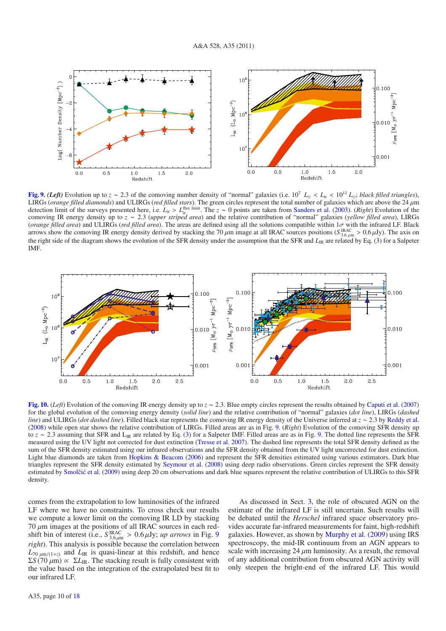

**[Fig. 9.](http://dexter.edpsciences.org/applet.php?DOI=10.1051/0004-6361/200913941&pdf_id=9)** (Left) Evolution up to  $z \sim 2.3$  of the comoving number density of "normal" galaxies (i.e. 10<sup>7</sup>  $L_0 < L_{ir} < 10^{11} L_0$ ; *black filled triangles*), LIRGs (*orange filled diamonds*) and ULIRGs (*red filled stars*). The green circles represent the total number of galaxies which are above the 24 μm<br>detection limit of the surveys presented here i.e. *L*. > *L*<sup>llux limit</sup> detection limit of the surveys presented here, i.e. *L<sub>ir</sub>* > *L*<sub>il</sub>ux limit. The *z* ∼ 0 points are taken from Sanders et al. (2003). (*Right*) Evolution of the comoving IR energy density up to *z* ≈ 2.3 (*upper stringd* comoving IR energy density up to *<sup>z</sup>* <sup>∼</sup> <sup>2</sup>.3 (*upper striped area*) and the relative contribution of "normal" galaxies (*yellow filled area*), LIRGs (*orange filled area*) and ULIRGs (*red filled area*). The areas are defined using all the solutions compatible within 1σ with the infrared LF. Black<br>arrows show the comoving IR energy density derived by stacking the 70 μ arrows show the comoving IR energy density derived by stacking the 70  $\mu$ m image at all IRAC sources positions (*S* <sup>IRAC</sup> > 0.6  $\mu$ Jy). The axis on the right side of the digaram shows the evolution of the SER density u the right side of the diagram shows the evolution of the SFR density under the assumption that the SFR and *L*<sub>IR</sub> are related by Eq. (3) for a Salpeter IMF.



**[Fig. 10.](http://dexter.edpsciences.org/applet.php?DOI=10.1051/0004-6361/200913941&pdf_id=10)** (*Left*) Evolution of the comoving IR energy density up to *<sup>z</sup>* <sup>∼</sup> <sup>2</sup>.3. Blue empty circles represent the results obtained by Caputi et al. (2007) for the global evolution of the comoving energy density (*solid line*) and the relative contribution of "normal" galaxies (*dot line*), LIRGs (*dashed line*) and ULIRGs (*dot dashed line*). Filled black star represents the comoving IR energy density of the Universe inferred at *<sup>z</sup>* <sup>∼</sup> <sup>2</sup>.3 by Reddy et al. (2008) while open star shows the relative contribution of LIRGs. Filled areas are as in Fig. 9. (*Right*) Evolution of the comoving SFR density up to *z* ∼ 2.3 assuming that SFR and L<sub>IR</sub> are related by Eq. (3) for a Salpeter IMF. Filled areas are as in Fig. 9. The dotted line represents the SFR measured using the UV light not corrected for dust extinction (Tresse et al. 2007). The dashed line represents the total SFR density defined as the sum of the SFR density estimated using our infrared observations and the SFR density obtained from the UV light uncorrected for dust extinction. Light blue diamonds are taken from Hopkins & Beacom (2006) and represent the SFR densities estimated using various estimators. Dark blue triangles represent the SFR density estimated by Seymour et al. (2008) using deep radio observations. Green circles represent the SFR density estimated by Smolčić et al. (2009) using deep 20 cm observations and dark blue squares represent the relative contribution of ULIRGs to this SFR density.

comes from the extrapolation to low luminosities of the infrared LF where we have no constraints. To cross check our results we compute a lower limit on the comoving IR LD by stacking 70 μm images at the positions of all IRAC sources in each red-<br>shift bin of interest (i.e.,  $S_{\text{R,6}}^{\text{IRAC}} > 0.6 \mu \text{Jy}$ ; *up arrows* in Fig. 9<br>*right*). This analysis is possible because the correlation between *right*). This analysis is possible because the correlation between  $L_{70 \mu m/(1+z)}$  and  $L_{IR}$  is quasi-linear at this redshift, and hence  $\Sigma S(70 \mu m) \propto \Sigma L_{IR}$ . The stacking result is fully consistent with the value based on the integration of the extrapolated best fit to our infrared LF.

As discussed in Sect. 3, the role of obscured AGN on the estimate of the infrared LF is still uncertain. Such results will be debated until the *Herschel* infrared space observatory provides accurate far-infrared measurements for faint, high-redshift galaxies. However, as shown by Murphy et al. (2009) using IRS spectroscopy, the mid-IR continuum from an AGN appears to scale with increasing  $24 \mu m$  luminosity. As a result, the removal of any additional contribution from obscured AGN activity will only steepen the bright-end of the infrared LF. This would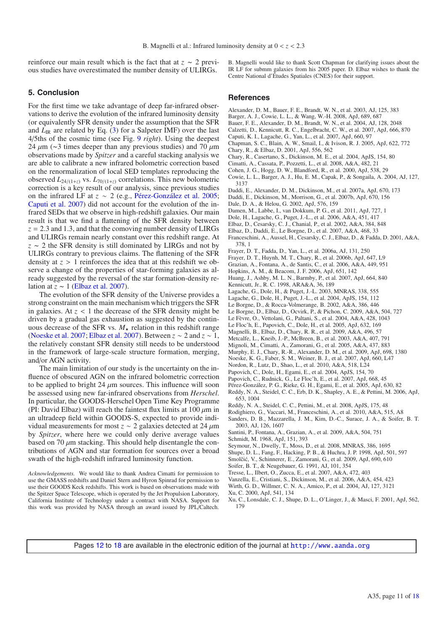reinforce our main result which is the fact that at *<sup>z</sup>* <sup>∼</sup> 2 previous studies have overestimated the number density of ULIRGs.

**5. Conclusion**

For the first time we take advantage of deep far-infrared observations to derive the evolution of the infrared luminosity density (or equivalently SFR density under the assumption that the SFR and  $L_{IR}$  are related by Eq. (3) for a Salpeter IMF) over the last 4/5ths of the cosmic time (see Fig. 9 *right*). Using the deepest 24  $\mu$ m (∼3 times deeper than any previous studies) and 70  $\mu$ m observations made by *Spitzer* and a careful stacking analysis we are able to calibrate a new infrared bolometric correction based on the renormalization of local SED templates reproducing the observed  $L_{24/(1+z)}$  vs.  $L_{70/(1+z)}$  correlations. This new bolometric correction is a key result of our analysis, since previous studies on the infrared LF at *z* ∼ 2 (e.g., Pérez-González et al. 2005; Caputi et al. 2007) did not account for the evolution of the infrared SEDs that we observe in high-redshift galaxies. Our main result is that we find a flattening of the SFR density between  $z = 2.3$  and 1.3, and that the comoving number density of LIRGs and ULIRGs remain nearly constant over this redshift range. At *<sup>z</sup>* <sup>∼</sup> 2 the SFR density is still dominated by LIRGs and not by ULIRGs contrary to previous claims. The flattening of the SFR density at *<sup>z</sup>* > 1 reinforces the idea that at this redshift we observe a change of the properties of star-forming galaxies as already suggested by the reversal of the star formation-density relation at  $z \sim 1$  (Elbaz et al. 2007).

The evolution of the SFR density of the Universe provides a strong constraint on the main mechanism which triggers the SFR in galaxies. At  $z < 1$  the decrease of the SFR density might be driven by a gradual gas exhaustion as suggested by the continuous decrease of the SFR vs.  $M_{\star}$  relation in this redshift range<br>(Nogske et al. 2007: Elbaz et al. 2007). Between z s. 2 and z s. 1. (Noeske et al. 2007; Elbaz et al. 2007). Between *z* ∼ 2 and *z* ∼ 1, the relatively constant SFR density still needs to be understood in the framework of large-scale structure formation, merging, and/or AGN activity.

The main limitation of our study is the uncertainty on the influence of obscured AGN on the infrared bolometric correction to be applied to bright 24  $\mu$ m sources. This influence will soon be assessed using new far-infrared observations from *Herschel*. In particular, the GOODS-Herschel Open Time Key Programme (PI: David Elbaz) will reach the faintest flux limits at  $100 \mu m$  in an ultradeep field within GOODS-S, expected to provide individual measurements for most  $z \sim 2$  galaxies detected at 24  $\mu$ m by *Spitzer*, where here we could only derive average values based on 70  $\mu$ m stacking. This should help disentangle the contributions of AGN and star formation for sources over a broad swath of the high-redshift infrared luminosity function.

*Acknowledgements.* We would like to thank Andrea Cimatti for permission to use the GMASS redshifts and Daniel Stern and Hyron Spinrad for permission to use their GOODS Keck redshifts. This work is based on observations made with the Spitzer Space Telescope, which is operated by the Jet Propulsion Laboratory, California Institute of Technology under a contract with NASA. Support for this work was provided by NASA through an award issued by JPL/Caltech. B. Magnelli would like to thank Scott Chapman for clarifying issues about the IR LF for submm galaxies from his 2005 paper. D. Elbaz wishes to thank the Centre National d'Études Spatiales (CNES) for their support.

#### **References**

- Alexander, D. M., Bauer, F. E., Brandt, W. N., et al. 2003, AJ, 125, 383
- Barger, A. J., Cowie, L. L., & Wang, W.-H. 2008, ApJ, 689, 687
- Bauer, F. E., Alexander, D. M., Brandt, W. N., et al. 2004, AJ, 128, 2048
- Calzetti, D., Kennicutt, R. C., Engelbracht, C. W., et al. 2007, ApJ, 666, 870
- Caputi, K. I., Lagache, G., Yan, L., et al. 2007, ApJ, 660, 97
- Chapman, S. C., Blain, A. W., Smail, I., & Ivison, R. J. 2005, ApJ, 622, 772
- Chary, R., & Elbaz, D. 2001, ApJ, 556, 562
- Chary, R., Casertano, S., Dickinson, M. E., et al. 2004, ApJS, 154, 80
- Cimatti, A., Cassata, P., Pozzetti, L., et al. 2008, A&A, 482, 21
- Cohen, J. G., Hogg, D. W., Blandford, R., et al. 2000, ApJ, 538, 29
- Cowie, L. L., Barger, A. J., Hu, E. M., Capak, P., & Songaila, A. 2004, AJ, 127, 3137
- Daddi, E., Alexander, D. M., Dickinson, M., et al. 2007a, ApJ, 670, 173
- Daddi, E., Dickinson, M., Morrison, G., et al. 2007b, ApJ, 670, 156
- Dale, D. A., & Helou, G. 2002, ApJ, 576, 159
- Damen, M., Labbe, I., van Dokkum, P. G., et al. 2011, ApJ, 727, 1
- Dole, H., Lagache, G., Puget, J.-L., et al. 2006, A&A, 451, 417
- Elbaz, D., Cesarsky, C. J., Chanial, P., et al. 2002, A&A, 384, 848
- Elbaz, D., Daddi, E., Le Borgne, D., et al. 2007, A&A, 468, 33
- 
- Franceschini, A., Aussel, H., Cesarsky, C. J., Elbaz, D., & Fadda, D. 2001, A&A, 378, 1
- Frayer, D. T., Fadda, D., Yan, L., et al. 2006a, AJ, 131, 250
- Frayer, D. T., Huynh, M. T., Chary, R., et al. 2006b, ApJ, 647, L9
- Grazian, A., Fontana, A., de Santis, C., et al. 2006, A&A, 449, 951
- Hopkins, A. M., & Beacom, J. F. 2006, ApJ, 651, 142
- Huang, J., Ashby, M. L. N., Barmby, P., et al. 2007, ApJ, 664, 840
- Kennicutt, Jr., R. C. 1998, ARA&A, 36, 189
- Lagache, G., Dole, H., & Puget, J.-L. 2003, MNRAS, 338, 555
- Lagache, G., Dole, H., Puget, J.-L., et al. 2004, ApJS, 154, 112
- Le Borgne, D., & Rocca-Volmerange, B. 2002, A&A, 386, 446 Le Borgne, D., Elbaz, D., Ocvirk, P., & Pichon, C. 2009, A&A, 504, 727
- Le Fèvre, O., Vettolani, G., Paltani, S., et al. 2004, A&A, 428, 1043
- 
- Le Floc'h, E., Papovich, C., Dole, H., et al. 2005, ApJ, 632, 169
- Magnelli, B., Elbaz, D., Chary, R. R., et al. 2009, A&A, 496, 57
- Metcalfe, L., Kneib, J.-P., McBreen, B., et al. 2003, A&A, 407, 791
- Mignoli, M., Cimatti, A., Zamorani, G., et al. 2005, A&A, 437, 883
- Murphy, E. J., Chary, R.-R., Alexander, D. M., et al. 2009, ApJ, 698, 1380
- Noeske, K. G., Faber, S. M., Weiner, B. J., et al. 2007, ApJ, 660, L47
- Nordon, R., Lutz, D., Shao, L., et al. 2010, A&A, 518, L24
- Papovich, C., Dole, H., Egami, E., et al. 2004, ApJS, 154, 70
- Papovich, C., Rudnick, G., Le Floc'h, E., et al. 2007, ApJ, 668, 45
- Pérez-González, P. G., Rieke, G. H., Egami, E., et al. 2005, ApJ, 630, 82 Reddy, N. A., Steidel, C. C., Erb, D. K., Shapley, A. E., & Pettini, M. 2006, ApJ,
- 653, 1004
- Reddy, N. A., Steidel, C. C., Pettini, M., et al. 2008, ApJS, 175, 48
- Rodighiero, G., Vaccari, M., Franceschini, A., et al. 2010, A&A, 515, A8
- Sanders, D. B., Mazzarella, J. M., Kim, D.-C., Surace, J. A., & Soifer, B. T. 2003, AJ, 126, 1607
- Santini, P., Fontana, A., Grazian, A., et al. 2009, A&A, 504, 751
- Schmidt, M. 1968, ApJ, 151, 393
- Seymour, N., Dwelly, T., Moss, D., et al. 2008, MNRAS, 386, 1695
- Shupe, D. L., Fang, F., Hacking, P. B., & Huchra, J. P. 1998, ApJ, 501, 597
- Smolčić, V., Schinnerer, E., Zamorani, G., et al. 2009, ApJ, 690, 610
- Soifer, B. T., & Neugebauer, G. 1991, AJ, 101, 354
- Tresse, L., Ilbert, O., Zucca, E., et al. 2007, A&A, 472, 403
- Vanzella, E., Cristiani, S., Dickinson, M., et al. 2006, A&A, 454, 423
- Wirth, G. D., Willmer, C. N. A., Amico, P., et al. 2004, AJ, 127, 3121
- Xu, C. 2000, ApJ, 541, 134
- 
- Xu, C., Lonsdale, C. J., Shupe, D. L., O'Linger, J., & Masci, F. 2001, ApJ, 562, 179

Pages 12 to 18 are available in the electronic edition of the journal at <http://www.aanda.org>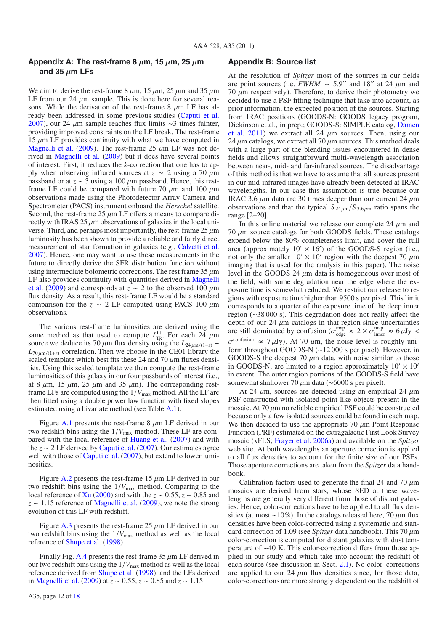# **Appendix A: The rest-frame 8**  $\mu$ m, 15  $\mu$ m, 25  $\mu$ m **and 35** μ**m LFs**

We aim to derive the rest-frame  $8 \mu m$ ,  $15 \mu m$ ,  $25 \mu m$  and  $35 \mu m$ LF from our 24  $\mu$ m sample. This is done here for several reasons. While the derivation of the rest-frame 8  $\mu$ m LF has already been addressed in some previous studies (Caputi et al. 2007), our 24 μm sample reaches flux limits <sup>∼</sup>3 times fainter, providing improved constraints on the LF break. The rest-frame  $15 \mu m$  LF provides continuity with what we have computed in Magnelli et al. (2009). The rest-frame 25  $\mu$ m LF was not derived in Magnelli et al. (2009) but it does have several points of interest. First, it reduces the *k*-correction that one has to apply when observing infrared sources at  $z \sim 2$  using a 70  $\mu$ m passband or at *<sup>z</sup>* <sup>∼</sup> 3 using a 100 μm passband. Hence, this restframe LF could be compared with future 70  $\mu$ m and 100  $\mu$ m observations made using the Photodetector Array Camera and Spectrometer (PACS) instrument onboard the *Herschel* satellite. Second, the rest-frame  $25 \mu m$  LF offers a means to compare directly with IRAS 25  $\mu$ m observations of galaxies in the local universe. Third, and perhaps most importantly, the rest-frame  $25 \mu m$ luminosity has been shown to provide a reliable and fairly direct measurement of star formation in galaxies (e.g., Calzetti et al. 2007). Hence, one may want to use these measurements in the future to directly derive the SFR distribution function without using intermediate bolometric corrections. The rest frame  $35 \mu m$ LF also provides continuity with quantities derived in Magnelli et al. (2009) and corresponds at  $z \sim 2$  to the observed 100  $\mu$ m flux density. As a result, this rest-frame LF would be a standard comparison for the  $z \sim 2$  LF computed using PACS 100  $\mu$ m observations.

The various rest-frame luminosities are derived using the same method as that used to compute  $L_{\text{IR}}^{\text{fit}}$ . For each  $24 \mu \text{m}$ <br>source we deduce its 70  $\mu$ m flux density using the  $I_{24,\text{cm}}/(\mu_{\text{B}})$ source we deduce its 70  $\mu$ m flux density using the  $L_{24\mu m/(1+z)}$  –  $L_{70 \mu m/(1+z)}$  correlation. Then we choose in the CE01 library the scaled template which best fits these 24 and 70  $\mu$ m fluxes densities. Using this scaled template we then compute the rest-frame luminosities of this galaxy in our four passbands of interest (i.e., at 8  $\mu$ m, 15  $\mu$ m, 25  $\mu$ m and 35  $\mu$ m). The corresponding restframe LFs are computed using the  $1/V_{\text{max}}$  method. All the LF are then fitted using a double power law function with fixed slopes estimated using a bivariate method (see Table A.1).

Figure A.1 presents the rest-frame  $8 \mu m$  LF derived in our two redshift bins using the  $1/V_{\text{max}}$  method. These LF are compared with the local reference of Huang et al. (2007) and with the *<sup>z</sup>* <sup>∼</sup> 2 LF derived by Caputi et al. (2007). Our estimates agree well with those of Caputi et al. (2007), but extend to lower luminosities.

Figure A.2 presents the rest-frame  $15 \mu m$  LF derived in our two redshift bins using the 1/*V*max method. Comparing to the local reference of Xu (2000) and with the *<sup>z</sup>* <sup>∼</sup> <sup>0</sup>.55, *<sup>z</sup>* <sup>∼</sup> <sup>0</sup>.85 and *<sup>z</sup>* <sup>∼</sup> <sup>1</sup>.15 reference of Magnelli et al. (2009), we note the strong evolution of this LF with redshift.

Figure A.3 presents the rest-frame  $25 \mu m$  LF derived in our two redshift bins using the 1/*V*max method as well as the local reference of Shupe et al. (1998).

Finally Fig. A.4 presents the rest-frame  $35 \mu m$  LF derived in our two redshift bins using the 1/*V*max method as well as the local reference derived from Shupe et al. (1998), and the LFs derived in Magnelli et al. (2009) at *<sup>z</sup>* <sup>∼</sup> <sup>0</sup>.55, *<sup>z</sup>* <sup>∼</sup> <sup>0</sup>.85 and *<sup>z</sup>* <sup>∼</sup> <sup>1</sup>.15.

# **Appendix B: Source list**

At the resolution of *Spitzer* most of the sources in our fields are point sources (i.e. *FWHM* ~ 5.9" and 18" at 24  $\mu$ m and 70  $\mu$ m respectively). Therefore, to derive their photometry we decided to use a PSF fitting technique that take into account, as prior information, the expected position of the sources. Starting from IRAC positions (GOODS-N: GOODS legacy program, Dickinson et al., in prep.; GOODS-S: SIMPLE catalog, Damen et al. 2011) we extract all 24  $\mu$ m sources. Then, using our 24  $\mu$ m catalogs, we extract all 70  $\mu$ m sources. This method deals with a large part of the blending issues encountered in dense fields and allows straightforward multi-wavelength association between near-, mid- and far-infrared sources. The disadvantage of this method is that we have to assume that all sources present in our mid-infrared images have already been detected at IRAC wavelengths. In our case this assumption is true because our IRAC 3.6  $\mu$ m data are 30 times deeper than our current 24  $\mu$ m observations and that the typical  $S_{24\mu m}/S_{3.6\mu m}$  ratio spans the range [2–20].

In this online material we release our complete  $24 \mu m$  and  $70 \mu m$  source catalogs for both GOODS fields. These catalogs expend below the 80% completeness limit, and cover the full area (approximately  $10' \times 16'$ ) of the GOODS-S region (i.e., not only the smaller  $10' \times 10'$  region with the deepest 70  $\mu$ m imaging that is used for the analysis in this paper). The noise level in the GOODS 24  $\mu$ m data is homogeneous over most of the field, with some degradation near the edge where the exposure time is somewhat reduced. We restrict our release to regions with exposure time higher than 9500 s per pixel. This limit corresponds to a quarter of the exposure time of the deep inner region (∼38 000 s). This degradation does not really affect the depth of our 24  $\mu$ m catalogs in that region since uncertainties are still dominated by confusion  $(\sigma^{\text{map}} \approx 2 \times \sigma^{\text{map}}) \approx 6 \mu$ Jy < are still dominated by confusion ( $\sigma_{\text{edge}}^{\text{map}} \approx 2 \times \sigma_{\text{inner}}^{\text{map}} \approx 6 \,\mu\text{Jy} <$  $\sigma^{\text{confusion}} \approx 7 \,\mu\text{Jy}$ . At 70  $\mu\text{m}$ , the noise level is roughly uniform throughout GOODS-N (∼12 000 s per pixel). However, in GOODS-S the deepest 70  $\mu$ m data, with noise similar to those in GOODS-N, are limited to a region approximately  $10' \times 10'$ in extent. The outer region portions of the GOODS-S field have somewhat shallower 70 μm data (∼6000 s per pixel).

At 24  $\mu$ m, sources are detected using an empirical 24  $\mu$ m PSF constructed with isolated point like objects present in the mosaic. At  $70 \mu$ m no reliable empirical PSF could be constructed because only a few isolated sources could be found in each map. We then decided to use the appropriate  $70 \mu m$  Point Response Function (PRF) estimated on the extragalactic First Look Survey mosaic (xFLS; Frayer et al. 2006a) and available on the *Spitzer* web site. At both wavelengths an aperture correction is applied to all flux densities to account for the finite size of our PSFs. Those aperture corrections are taken from the *Spitzer* data handbook.

Calibration factors used to generate the final 24 and 70  $\mu$ m mosaics are derived from stars, whose SED at these wavelengths are generally very different from those of distant galaxies. Hence, color-corrections have to be applied to all flux densities (at most ~10%). In the catalogs released here, 70  $\mu$ m flux densities have been color-corrected using a systematic and standard correction of 1.09 (see *Spitzer* data handbook). This 70 μ<sup>m</sup> color-correction is computed for distant galaxies with dust temperature of <sup>∼</sup>40 K. This color-correction differs from those applied in our study and which take into account the redshift of each source (see discussion in Sect. 2.1). No color–corrections are applied to our 24  $\mu$ m flux densities since, for those data, color-corrections are more strongly dependent on the redshift of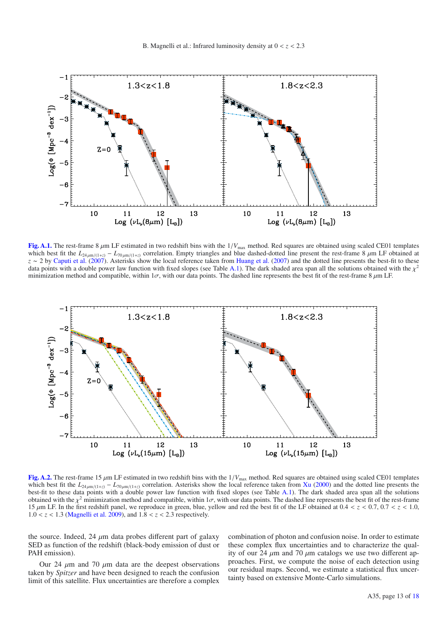

[Fig. A.1.](http://dexter.edpsciences.org/applet.php?DOI=10.1051/0004-6361/200913941&pdf_id=11) The rest-frame 8  $\mu$ m LF estimated in two redshift bins with the  $1/V_{\text{max}}$  method. Red squares are obtained using scaled CE01 templates which best fit the  $L_{24 \mu m/(1+z)} - L_{70 \mu m/(1+z)}$  correlation. Empty triangles and blue dashed-dotted line present the rest-frame 8  $\mu$ m LF obtained at *z* ∼ 2 by Caputi et al. (2007). Asterisks show the local reference taken from Huang et al. (2007) and the dotted line presents the best-fit to these data points with a double power law function with fixed slopes (see Table A.1). The dark shaded area span all the solutions obtained with the  $\chi^2$ minimization method and compatible, within  $1\sigma$ , with our data points. The dashed line represents the best fit of the rest-frame 8  $\mu$ m LF.



**[Fig. A.2.](http://dexter.edpsciences.org/applet.php?DOI=10.1051/0004-6361/200913941&pdf_id=12)** The rest-frame 15 <sup>μ</sup>m LF estimated in two redshift bins with the 1/*V*max method. Red squares are obtained using scaled CE01 templates which best fit the  $L_{24\mu\text{m}/(1+z)} - L_{70\mu\text{m}/(1+z)}$  correlation. Asterisks show the local reference taken from Xu (2000) and the dotted line presents the best-fit to these data points with a double power law function with fixed slopes (see Table A.1). The dark shaded area span all the solutions obtained with the  $\chi^2$  minimization method and compatible, within  $1\sigma$ , with our data points. The dashed line represents the best fit of the rest-frame 15  $\mu$ m LF. In the first redshift panel, we reproduce in green, blue, yellow and red the best fit of the LF obtained at 0.4 < *z* < 0.7, 0.7 < *z* < 1.0,  $1.0 < z < 1.3$  (Magnelli et al. 2009), and  $1.8 < z < 2.3$  respectively.

the source. Indeed, 24  $\mu$ m data probes different part of galaxy SED as function of the redshift (black-body emission of dust or PAH emission).

Our 24 μm and 70 μm data are the deepest observations taken by *Spitzer* and have been designed to reach the confusion limit of this satellite. Flux uncertainties are therefore a complex combination of photon and confusion noise. In order to estimate these complex flux uncertainties and to characterize the quality of our 24  $\mu$ m and 70  $\mu$ m catalogs we use two different approaches. First, we compute the noise of each detection using our residual maps. Second, we estimate a statistical flux uncertainty based on extensive Monte-Carlo simulations.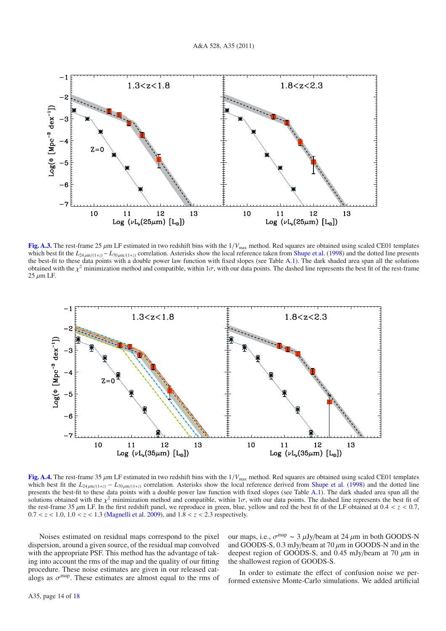

[Fig. A.3.](http://dexter.edpsciences.org/applet.php?DOI=10.1051/0004-6361/200913941&pdf_id=13) The rest-frame 25  $\mu$ m LF estimated in two redshift bins with the  $1/V_{\text{max}}$  method. Red squares are obtained using scaled CE01 templates which best fit the  $L_{24 \mu m/(1+z)} - L_{70 \mu m/(1+z)}$  correlation. Asterisks show the local reference taken from Shupe et al. (1998) and the dotted line presents the best-fit to these data points with a double power law function with fixed slopes (see Table A.1). The dark shaded area span all the solutions obtained with the  $\chi^2$  minimization method and compatible, within  $1\sigma$ , with our data points. The dashed line represents the best fit of the rest-frame  $25 \mu m$  LF.



**[Fig. A.4.](http://dexter.edpsciences.org/applet.php?DOI=10.1051/0004-6361/200913941&pdf_id=14)** The rest-frame 35 <sup>μ</sup>m LF estimated in two redshift bins with the 1/*V*max method. Red squares are obtained using scaled CE01 templates which best fit the  $L_{24\mu\text{m}/(1+z)} - L_{70\mu\text{m}/(1+z)}$  correlation. Asterisks show the local reference derived from Shupe et al. (1998) and the dotted line presents the best-fit to these data points with a double power law function with fixed slopes (see Table A.1). The dark shaded area span all the solutions obtained with the  $\chi^2$  minimization method and compatible, within  $1\sigma$ , with our data points. The dashed line represents the best fit of the rest-frame 35  $\mu$ m LF. In the first redshift panel, we reproduce in green, blue, yellow and red the best fit of the LF obtained at  $0.4 < z < 0.7$ ,  $0.7 < z < 1.0, 1.0 < z < 1.3$  (Magnelli et al. 2009), and  $1.8 < z < 2.3$  respectively.

Noises estimated on residual maps correspond to the pixel dispersion, around a given source, of the residual map convolved with the appropriate PSF. This method has the advantage of taking into account the rms of the map and the quality of our fitting procedure. These noise estimates are given in our released catalogs as  $\sigma^{\text{map}}$ . These estimates are almost equal to the rms of our maps, i.e.,  $\sigma^{\text{map}} \sim 3 \mu \text{Jy/beam}$  at 24  $\mu$ m in both GOODS-N and GOODS-S,  $0.3$  mJy/beam at  $70 \mu m$  in GOODS-N and in the deepest region of GOODS-S, and 0.45 mJy/beam at 70  $\mu$ m in the shallowest region of GOODS-S.

In order to estimate the effect of confusion noise we performed extensive Monte-Carlo simulations. We added artificial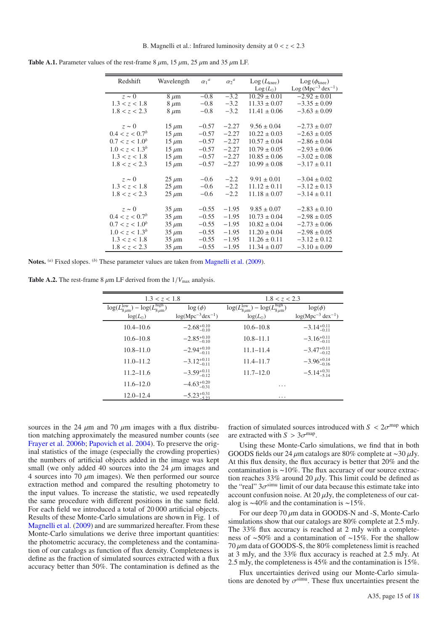| Redshift                   | Wavelength | $\alpha_1^a$ | $\alpha_2^a$ | $Log(L_{knee})$<br>$Log(L_{\odot})$ | $\text{Log}(\phi_{\text{knee}})$<br>$Log(Mpc^{-3} dex^{-1})$ |
|----------------------------|------------|--------------|--------------|-------------------------------------|--------------------------------------------------------------|
| $z \sim 0$                 | $8 \mu m$  | $-0.8$       | $-3.2$       | $10.29 \pm 0.01$                    | $-2.92 \pm 0.01$                                             |
| 1.3 < z < 1.8              | $8 \mu m$  | $-0.8$       | $-3.2$       | $11.33 \pm 0.07$                    | $-3.35 \pm 0.09$                                             |
| 1.8 < z < 2.3              | $8 \mu m$  | $-0.8$       | $-3.2$       | $11.41 \pm 0.06$                    | $-3.63 \pm 0.09$                                             |
| $z \sim 0$                 | $15 \mu m$ | $-0.57$      | $-2.27$      | $9.56 \pm 0.04$                     | $-2.73 \pm 0.07$                                             |
| 0.4 < z < 0.7 <sup>b</sup> | $15 \mu m$ | $-0.57$      | $-2.27$      | $10.22 \pm 0.03$                    | $-2.63 \pm 0.05$                                             |
| $0.7 < z < 1.0^b$          | $15 \mu m$ | $-0.57$      | $-2.27$      | $10.57 \pm 0.04$                    | $-2.86 \pm 0.04$                                             |
| $1.0 < z < 1.3^b$          | $15 \mu m$ | $-0.57$      | $-2.27$      | $10.79 \pm 0.05$                    | $-2.93 \pm 0.06$                                             |
| 1.3 < z < 1.8              | $15 \mu m$ | $-0.57$      | $-2.27$      | $10.85 \pm 0.06$                    | $-3.02 \pm 0.08$                                             |
| 1.8 < z < 2.3              | $15 \mu m$ | $-0.57$      | $-2.27$      | $10.99 \pm 0.08$                    | $-3.17 \pm 0.11$                                             |
| $z \sim 0$                 | $25 \mu m$ | $-0.6$       | $-2.2$       | $9.91 \pm 0.01$                     | $-3.04 \pm 0.02$                                             |
| 1.3 < z < 1.8              | $25 \mu m$ | $-0.6$       | $-2.2$       | $11.12 \pm 0.11$                    | $-3.12 \pm 0.13$                                             |
| 1.8 < z < 2.3              | $25 \mu m$ | $-0.6$       | $-2.2$       | $11.18 \pm 0.07$                    | $-3.14 \pm 0.11$                                             |
|                            |            |              |              |                                     |                                                              |
| $z \sim 0$                 | $35 \mu m$ | $-0.55$      | $-1.95$      | $9.85 \pm 0.07$                     | $-2.83 \pm 0.10$                                             |
| 0.4 < z < 0.7 <sup>b</sup> | $35 \mu m$ | $-0.55$      | $-1.95$      | $10.73 \pm 0.04$                    | $-2.98 \pm 0.05$                                             |
| $0.7 < z < 1.0^b$          | $35 \mu m$ | $-0.55$      | $-1.95$      | $10.82 \pm 0.04$                    | $-2.73 \pm 0.06$                                             |
| $1.0 < z < 1.3^b$          | $35 \mu m$ | $-0.55$      | $-1.95$      | $11.20 \pm 0.04$                    | $-2.98 \pm 0.05$                                             |
| 1.3 < z < 1.8              | $35 \mu m$ | $-0.55$      | $-1.95$      | $11.26 \pm 0.11$                    | $-3.12 \pm 0.12$                                             |
| 1.8 < z < 2.3              | $35 \mu m$ | $-0.55$      | $-1.95$      | $11.34 \pm 0.07$                    | $-3.10 \pm 0.09$                                             |
|                            |            |              |              |                                     |                                                              |

**Table A.1.** Parameter values of the rest-frame  $8 \mu m$ ,  $15 \mu m$ ,  $25 \mu m$  and  $35 \mu m$  LF.

Notes. <sup>(a)</sup> Fixed slopes. <sup>(b)</sup> These parameter values are taken from Magnelli et al. (2009).

**Table A.2.** The rest-frame 8  $\mu$ m LF derived from the  $1/V_{\text{max}}$  analysis.

| 1.3 < z < 1.8                                                                        |                                         | 1.8 < z < 2.3                                                                                    |                                                   |
|--------------------------------------------------------------------------------------|-----------------------------------------|--------------------------------------------------------------------------------------------------|---------------------------------------------------|
| $\log(L_{8\mu m}^{\text{low}}) - \log(L_{8\mu m}^{\text{high}})$<br>$log(L_{\odot})$ | $\log(\phi)$<br>$log(Mpc^{-3}dex^{-1})$ | $\log(L_{8\mu\text{m}}^{\text{low}}) - \log(L_{8\mu\text{m}}^{\text{high}})$<br>$log(L_{\odot})$ | $log(\phi)$<br>$log(Mpc^{-3}$ dex <sup>-1</sup> ) |
| $10.4 - 10.6$                                                                        | $-2.68^{+0.10}_{-0.10}$                 | $10.6 - 10.8$                                                                                    | $-3.14_{-0.11}^{+0.11}$                           |
| $10.6 - 10.8$                                                                        | $-2.85^{+0.10}_{-0.10}$                 | $10.8 - 11.1$                                                                                    | $-3.16_{-0.11}^{+0.11}$                           |
| $10.8 - 11.0$                                                                        | $-2.94^{+0.10}_{-0.11}$                 | $11.1 - 11.4$                                                                                    | $-3.47^{+0.11}_{-0.12}$                           |
| $11.0 - 11.2$                                                                        | $-3.12_{-0.11}^{+0.11}$                 | $11.4 - 11.7$                                                                                    | $-3.96^{+0.14}_{-0.16}$                           |
| $11.2 - 11.6$                                                                        | $-3.59_{-0.12}^{+0.11}$                 | $11.7 - 12.0$                                                                                    | $-5.14_{-5.14}^{+0.31}$                           |
| $11.6 - 12.0$                                                                        | $-4.63_{-0.31}^{+0.20}$                 | .                                                                                                |                                                   |
| $12.0 - 12.4$                                                                        | $-5.23_{-5.23}^{+0.31}$                 | .                                                                                                |                                                   |
|                                                                                      |                                         |                                                                                                  |                                                   |

sources in the 24  $\mu$ m and 70  $\mu$ m images with a flux distribution matching approximately the measured number counts (see Frayer et al. 2006b; Papovich et al. 2004). To preserve the original statistics of the image (especially the crowding properties) the numbers of artificial objects added in the image was kept small (we only added 40 sources into the 24  $\mu$ m images and 4 sources into 70  $\mu$ m images). We then performed our source extraction method and compared the resulting photometry to the input values. To increase the statistic, we used repeatedly the same procedure with different positions in the same field. For each field we introduced a total of 20 000 artificial objects. Results of these Monte-Carlo simulations are shown in Fig. 1 of Magnelli et al. (2009) and are summarized hereafter. From these Monte-Carlo simulations we derive three important quantities: the photometric accuracy, the completeness and the contamination of our catalogs as function of flux density. Completeness is define as the fraction of simulated sources extracted with a flux accuracy better than 50%. The contamination is defined as the fraction of simulated sources introduced with  $S < 2\sigma^{\text{map}}$  which are extracted with  $S > 3\sigma^{\text{map}}$ .

Using these Monte-Carlo simulations, we find that in both GOODS fields our 24  $\mu$ m catalogs are 80% complete at ~30  $\mu$ Jy. At this flux density, the flux accuracy is better that 20% and the contamination is <sup>∼</sup>10%. The flux accuracy of our source extraction reaches 33% around 20  $\mu$ Jy. This limit could be defined as the "real"  $3\sigma$ <sup>simu</sup> limit of our data because this estimate take into account confusion noise. At 20  $\mu$ Jy, the completeness of our catalog is <sup>∼</sup>40% and the contamination is <sup>∼</sup>15%.

For our deep 70 μm data in GOODS-N and -S, Monte-Carlo simulations show that our catalogs are 80% complete at 2.5 mJy. The 33% flux accuracy is reached at 2 mJy with a completeness of <sup>∼</sup>50% and a contamination of <sup>∼</sup>15%. For the shallow  $70 \mu$ m data of GOODS-S, the 80% completeness limit is reached at 3 mJy, and the 33% flux accuracy is reached at 2.5 mJy. At at 3 mJy, and the 33% flux accuracy is reached at 2.5 mJy. At  $2.5$  mJy the completeness is 45% and the contamination is  $15\%$ 2.5 mJy, the completeness is  $45\%$  and the contamination is  $15\%$ .

Flux uncertainties derived using our Monte-Carlo simulations are denoted by  $\sigma^{\text{simu}}$ . These flux uncertainties present the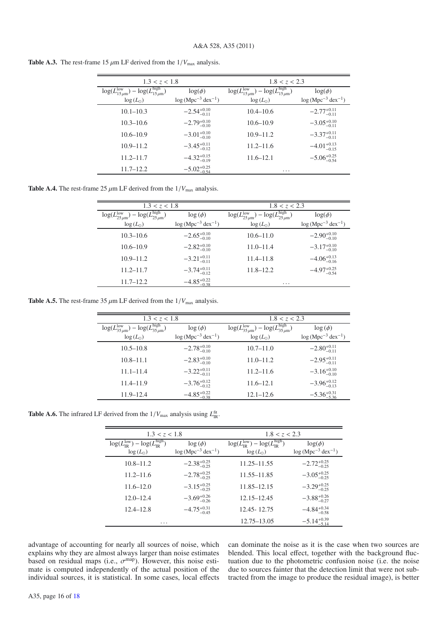| 1.3 < z < 1.8                                                                      |                                    | 1.8 < z < 2.3                                                                      |                                    |  |  |  |
|------------------------------------------------------------------------------------|------------------------------------|------------------------------------------------------------------------------------|------------------------------------|--|--|--|
| $\log(L_{15\,\mu\text{m}}^{\text{low}}) - \log(L_{15\,\mu\text{m}}^{\text{high}})$ | $log(\phi)$                        | $\log(L_{15\,\mu\text{m}}^{\text{low}}) - \log(L_{15\,\mu\text{m}}^{\text{high}})$ | $log(\phi)$                        |  |  |  |
| $log(L_{\odot})$                                                                   | $log(Mpc^{-3}$ dex <sup>-1</sup> ) | $log(L_{\odot})$                                                                   | $log(Mpc^{-3}$ dex <sup>-1</sup> ) |  |  |  |
| $10.1 - 10.3$                                                                      | $-2.54_{-0.11}^{+0.10}$            | $10.4 - 10.6$                                                                      | $-2.77^{+0.11}_{-0.11}$            |  |  |  |
| $10.3 - 10.6$                                                                      | $-2.79^{+0.10}_{-0.10}$            | $10.6 - 10.9$                                                                      | $-3.05_{-0.11}^{+0.10}$            |  |  |  |
| $10.6 - 10.9$                                                                      | $-3.01_{-0.10}^{+0.10}$            | $10.9 - 11.2$                                                                      | $-3.37^{+0.11}_{-0.11}$            |  |  |  |
| $10.9 - 11.2$                                                                      | $-3.45^{+0.11}_{-0.12}$            | $11.2 - 11.6$                                                                      | $-4.01_{-0.15}^{+0.13}$            |  |  |  |
| $11.2 - 11.7$                                                                      | $-4.32_{-0.19}^{+0.15}$            | $11.6 - 12.1$                                                                      | $-5.06_{-0.54}^{+0.25}$            |  |  |  |
| $11.7 - 12.2$                                                                      | $-5.02_{-0.54}^{+0.25}$            | $\cdots$                                                                           |                                    |  |  |  |

**Table A.3.** The rest-frame 15  $\mu$ m LF derived from the  $1/V_{\text{max}}$  analysis.

**Table A.4.** The rest-frame 25  $\mu$ m LF derived from the  $1/V_{\text{max}}$  analysis.

| 1.3 < z < 1.8                                                                    |                                    | 1.8 < z < 2.3                                                                                     |                          |  |  |  |
|----------------------------------------------------------------------------------|------------------------------------|---------------------------------------------------------------------------------------------------|--------------------------|--|--|--|
| $\log(L_{25\,\mu\text{m}}^{\text{low}})-\log(L_{25\,\mu\text{m}}^{\text{high}})$ | $\log(\phi)$                       | $-\log(\overline{L_{25\,\mu\text{m}}^{\text{high}}})$<br>$\log(L_{25\,\mu\text{m}}^{\text{low}})$ | $log(\phi)$              |  |  |  |
| $log(L_{\odot})$                                                                 | $log(Mpc^{-3}$ dex <sup>-1</sup> ) | $log(L_{\odot})$                                                                                  | $log(Mpc^{-3} dex^{-1})$ |  |  |  |
| $10.3 - 10.6$                                                                    | $-2.65^{+0.10}_{-0.10}$            | $10.6 - 11.0$                                                                                     | $-2.90^{+0.10}_{-0.10}$  |  |  |  |
| $10.6 - 10.9$                                                                    | $-2.82_{-0.10}^{+0.10}$            | $11.0 - 11.4$                                                                                     | $-3.17^{+0.10}_{-0.10}$  |  |  |  |
| $10.9 - 11.2$                                                                    | $-3.21_{-0.11}^{+0.11}$            | $11.4 - 11.8$                                                                                     | $-4.06_{-0.16}^{+0.13}$  |  |  |  |
| $11.2 - 11.7$                                                                    | $-3.74^{+0.11}_{-0.12}$            | $11.8 - 12.2$                                                                                     | $-4.97_{-0.54}^{+0.25}$  |  |  |  |
| $11.7 - 12.2$                                                                    | $-4.85_{-0.38}^{+0.22}$            | $\cdots$                                                                                          |                          |  |  |  |
|                                                                                  |                                    |                                                                                                   |                          |  |  |  |

**Table A.5.** The rest-frame 35  $\mu$ m LF derived from the  $1/V_{\text{max}}$  analysis.

| 1.3 < z < 1.8                                                                    |                                    | 1.8 < z < 2.3                                                                      |                          |  |  |  |
|----------------------------------------------------------------------------------|------------------------------------|------------------------------------------------------------------------------------|--------------------------|--|--|--|
| $\log(L_{35\,\mu\text{m}}^{\text{low}})-\log(L_{35\,\mu\text{m}}^{\text{high}})$ | $\log(\phi)$                       | $\log(L_{35\,\mu\text{m}}^{\text{low}}) - \log(L_{35\,\mu\text{m}}^{\text{high}})$ | $\log(\phi)$             |  |  |  |
| $log(L_{\odot})$                                                                 | $log(Mpc^{-3}$ dex <sup>-1</sup> ) | $log(L_{\odot})$                                                                   | $log(Mpc^{-3} dex^{-1})$ |  |  |  |
| $10.5 - 10.8$                                                                    | $-2.78_{-0.10}^{+0.10}$            | $10.7 - 11.0$                                                                      | $-2.80^{+0.11}_{-0.11}$  |  |  |  |
| $10.8 - 11.1$                                                                    | $-2.83^{+0.10}_{-0.10}$            | $11.0 - 11.2$                                                                      | $-2.95_{-0.11}^{+0.11}$  |  |  |  |
| $11.1 - 11.4$                                                                    | $-3.22^{+0.11}_{-0.11}$            | $11.2 - 11.6$                                                                      | $-3.16^{+0.10}_{-0.10}$  |  |  |  |
| $11.4 - 11.9$                                                                    | $-3.76^{+0.12}_{-0.12}$            | $11.6 - 12.1$                                                                      | $-3.96^{+0.12}_{-0.13}$  |  |  |  |
| $11.9 - 12.4$                                                                    | $-4.85_{-0.38}^{+0.22}$            | $12.1 - 12.6$                                                                      | $-5.36^{+0.31}_{-5.36}$  |  |  |  |
|                                                                                  |                                    |                                                                                    |                          |  |  |  |

**Table A.6.** The infrared LF derived from the  $1/V_{\text{max}}$  analysis using  $L_{\text{IR}}^{\text{fit}}$ .

| 1.3 < z < 1.8                                                                                          |                                                    | 1.8 < z < 2.3                                                                               |                                                   |
|--------------------------------------------------------------------------------------------------------|----------------------------------------------------|---------------------------------------------------------------------------------------------|---------------------------------------------------|
| $\log(L_{\text{IR}}^{\text{low}}) - \log(\overline{L_{\text{IR}}^{\text{high}}})$<br>$\log(L_{\odot})$ | $\log(\phi)$<br>$log(Mpc^{-3}$ dex <sup>-1</sup> ) | $\log(L_{\text{IR}}^{\text{low}}) - \log(L_{\text{IR}}^{\text{high}})$<br>$\log(L_{\odot})$ | $log(\phi)$<br>$log(Mpc^{-3}$ dex <sup>-1</sup> ) |
| $10.8 - 11.2$                                                                                          | $-2.38_{-0.25}^{+0.25}$                            | $11.25 - 11.55$                                                                             | $-2.72_{-0.25}^{+0.25}$                           |
| $11.2 - 11.6$                                                                                          | $-2.78^{+0.25}_{-0.25}$                            | 11.55–11.85                                                                                 | $-3.05^{+0.25}_{-0.25}$                           |
| $11.6 - 12.0$                                                                                          | $-3.15^{+0.25}_{-0.25}$                            | 11.85–12.15                                                                                 | $-3.29^{+0.25}_{-0.25}$                           |
| $12.0 - 12.4$                                                                                          | $-3.69^{+0.26}_{-0.26}$                            | $12.15 - 12.45$                                                                             | $-3.88^{+0.26}_{-0.27}$                           |
| $12.4 - 12.8$                                                                                          | $-4.75_{-0.45}^{+0.31}$                            | 12.45 - 12.75                                                                               | $-4.84_{-0.58}^{+0.34}$                           |
| .                                                                                                      |                                                    | 12.75–13.05                                                                                 | $-5.14_{-5.14}^{+0.39}$                           |

advantage of accounting for nearly all sources of noise, which explains why they are almost always larger than noise estimates based on residual maps (i.e.,  $\sigma^{\text{map}}$ ). However, this noise esti-<br>mate is computed independently of the actual position of the mate is computed independently of the actual position of the individual sources, it is statistical. In some cases, local effects can dominate the noise as it is the case when two sources are blended. This local effect, together with the background fluctuation due to the photometric confusion noise (i.e. the noise due to sources fainter that the detection limit that were not subtracted from the image to produce the residual image), is better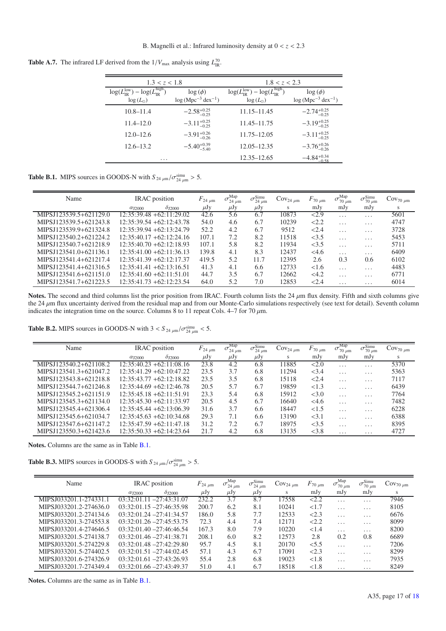**Table A.7.** The infrared LF derived from the  $1/V_{\text{max}}$  analysis using  $L_{\text{IR}}^{70}$ .

| 1.3 < z < 1.8                                                                                          |                                          | 1.8 < z < 2.3                                                                                         |                                                    |  |  |  |
|--------------------------------------------------------------------------------------------------------|------------------------------------------|-------------------------------------------------------------------------------------------------------|----------------------------------------------------|--|--|--|
| $\log(L_{\text{IR}}^{\text{low}}) - \log(\overline{L_{\text{IP}}^{\text{high}}})$<br>$\log(L_{\odot})$ | $\log(\phi)$<br>$log(Mpc^{-3} dex^{-1})$ | $\log(L_{\text{IR}}^{\text{low}}) - \log(\overline{L_{\text{IR}}^{\text{high}}})$<br>$log(L_{\odot})$ | $\log(\phi)$<br>$log(Mpc^{-3}$ dex <sup>-1</sup> ) |  |  |  |
| $10.8 - 11.4$                                                                                          | $-2.58^{+0.25}_{-0.25}$                  | 11.15–11.45                                                                                           | $-2.74^{+0.25}_{-0.25}$                            |  |  |  |
| $11.4 - 12.0$                                                                                          | $-3.11_{-0.25}^{+0.25}$                  | 11.45–11.75                                                                                           | $-3.19_{-0.25}^{+0.25}$                            |  |  |  |
| $12.0 - 12.6$                                                                                          | $-3.91^{+0.26}_{-0.26}$                  | 11.75–12.05                                                                                           | $-3.11_{-0.25}^{+0.25}$                            |  |  |  |
| $12.6 - 13.2$                                                                                          | $-5.40^{+0.39}_{-5.40}$                  | $12.05 - 12.35$                                                                                       | $-3.76^{+0.26}_{-0.26}$                            |  |  |  |
| $\cdots$                                                                                               |                                          | 12.35–12.65                                                                                           | $-4.84_{-0.58}^{+0.34}$                            |  |  |  |

**Table B.1.** MIPS sources in GOODS-N with  $S_{24 \mu m}/\sigma_{24 \mu m}^{sim} > 5$ .

| Name                     | <b>IRAC</b> position                            | $F_{24 \mu m}$ | Map<br>$\sigma_{24 \mu m}$ | $\sigma_{24~\mu \rm m}^{\rm Simu}$ | $\text{Cov}_{24 \mu m}$ | $F_{70~\mu\text{m}}$ | Map<br>$\sigma_{70~\mu\text{m}}$ | $\sigma_{70 \mu m}^{\text{Simu}}$ | $\rm Cov_{70~\mu m}$ |
|--------------------------|-------------------------------------------------|----------------|----------------------------|------------------------------------|-------------------------|----------------------|----------------------------------|-----------------------------------|----------------------|
|                          | $\delta_{\rm J2000}$<br>$\alpha_{\text{I}2000}$ | $\mu$ Jy       | $\mu$ Jy                   | $\mu$ Jy                           | S                       | mJy                  | mJy                              | mJy                               | S                    |
| MIPSJ123539.5+621129.0   | $12:35:39.48 + 62:11:29.02$                     | 42.6           | 5.6                        | 6.7                                | 10873                   | 2.9                  | $\cdot$ $\cdot$ $\cdot$          | $\cdot$ $\cdot$ $\cdot$           | 5601                 |
| MIPSJ123539.5+621243.8   | $12:35:39.54 + 62:12:43.78$                     | 54.0           | 4.6                        | 6.7                                | 10239                   | 22.2                 | $\cdot$ $\cdot$ $\cdot$          | $\cdot$ $\cdot$ $\cdot$           | 4747                 |
| MIPSJ123539.9+621324.8   | $12:35:39.94 + 62:13:24.79$                     | 52.2           | 4.2                        | 6.7                                | 9512                    | 2.4                  | $\cdot$ $\cdot$ $\cdot$          | $\cdot$ $\cdot$ $\cdot$           | 3728                 |
| MIPSJ123540.2+621224.2   | $12:35:40.17 + 62:12:24.16$                     | 107.1          | 7.2                        | 8.2                                | 11518                   | <3.5                 | $\cdot$ $\cdot$ $\cdot$          | $\cdot$ $\cdot$ $\cdot$           | 5453                 |
| MIPSJ123540.7+621218.9   | $12:35:40.70 + 62:12:18.93$                     | 107.1          | 5.8                        | 8.2                                | 11934                   | <3.5                 | $\cdot$ $\cdot$ $\cdot$          | $\cdots$                          | 5711                 |
| MIPSJ123541.0+621136.1   | $12:35:41.00 + 62:11:36.13$                     | 139.8          | 4.1                        | 8.3                                | 12437                   | <4.6                 | $\cdot$ $\cdot$ $\cdot$          | $\cdot$ $\cdot$ $\cdot$           | 6409                 |
| MIPS I 123541 4+621217.4 | $12:35:41.39 + 62:12:17.37$                     | 419.5          | 5.2                        | 11.7                               | 12395                   | 2.6                  | 0.3                              | 0.6                               | 6102                 |
| MIPS I123541.4+621316.5  | $12:35:41.41 + 62:13:16.51$                     | 41.3           | 4.1                        | 6.6                                | 12733                   | < 1.6                | $\cdot$                          | $\cdot$ $\cdot$ $\cdot$           | 4483                 |
| MIPSJ123541.6+621151.0   | $12:35:41.60 + 62:11:51.01$                     | 44.7           | 3.5                        | 6.7                                | 12662                   | <4.2                 | $\cdot$ $\cdot$ $\cdot$          | $\cdot$ $\cdot$ $\cdot$           | 6771                 |
| MIPSJ123541.7+621223.5   | $12:35:41.73 + 62:12:23.54$                     | 64.0           | 5.2                        | 7.0                                | 12853                   | < 2.4                | $\cdots$                         | $\cdots$                          | 6014                 |
|                          |                                                 |                |                            |                                    |                         |                      |                                  |                                   |                      |

Notes. The second and third columns list the prior position from IRAC. Fourth column lists the  $24 \mu m$  flux density. Fifth and sixth columns give the 24  $\mu$ m flux uncertainty derived from the residual map and from our Monte-Carlo simulations respectively (see text for detail). Seventh column indicates the integration time on the source. Columns 8 to 11 repeat Cols. 4–7 for 70  $\mu$ m.

**Table B.2.** MIPS sources in GOODS-N with  $3 < S_{24 \mu m}/\sigma_{24 \mu m}^{sim} < 5$ .

| Name                   | <b>IRAC</b> position                            | $F_{24~\mu m}$ | Map<br>$\sigma_{24 \mu m}$ | $\sigma_{24 \mu m}^{\text{Simu}}$ | $\text{Cov}_{24 \mu m}$ | $F_{70~\mu m}$ | Map<br>$\sigma$<br>$70 \mu m$ | $\sigma_{70 \mu m}^{\text{Simu}}$ | $\rm Cov_{70~\mu m}$ |
|------------------------|-------------------------------------------------|----------------|----------------------------|-----------------------------------|-------------------------|----------------|-------------------------------|-----------------------------------|----------------------|
|                        | $\delta_{\rm J2000}$<br>$\alpha_{\text{I}2000}$ | $\mu$ Jy       | μJy                        | μJy                               | S                       | mJy            | mJy                           | mJy                               | S                    |
| MIPSJ123540.2+621108.2 | $12:35:40.23 + 62:11:08.16$                     | 23.8           | 4.2                        | 6.8                               | 11885                   | <2.0           | $\cdot$ $\cdot$ $\cdot$       | $\cdot$ $\cdot$ $\cdot$           | 5370                 |
| MIPSJ123541.3+621047.2 | $12:35:41.29 + 62:10:47.22$                     | 23.5           | 3.7                        | 6.8                               | 11294                   | < 3.4          | $\cdot$ $\cdot$ $\cdot$       | $\cdot$ $\cdot$ $\cdot$           | 5363                 |
| MIPSJ123543.8+621218.8 | $12:35:43.77 + 62:12:18.82$                     | 23.5           | 3.5                        | 6.8                               | 15118                   | 2.4            | $\cdot$ $\cdot$ $\cdot$       | $\cdot$ $\cdot$ $\cdot$           | 7117                 |
| MIPSJ123544.7+621246.8 | $12:35:44.69 + 62:12:46.78$                     | 20.5           | 5.7                        | 6.7                               | 19859                   | < 1.3          | $\cdot$ $\cdot$ $\cdot$       | $\cdot$ $\cdot$ $\cdot$           | 6439                 |
| MIPSJ123545.2+621151.9 | $12:35:45.18 + 62:11:51.91$                     | 23.3           | 5.4                        | 6.8                               | 15912                   | <3.0           | $\cdot$ $\cdot$ $\cdot$       | $\cdot$ $\cdot$ $\cdot$           | 7764                 |
| MIPSJ123545.3+621134.0 | $12:35:45.30 + 62:11:33.97$                     | 20.5           | 4.5                        | 6.7                               | 16640                   | <4.6           | $\cdot$ $\cdot$ $\cdot$       | $\cdot$ $\cdot$ $\cdot$           | 7482                 |
| MIPSJ123545.4+621306.4 | $12:35:45.44 + 62:13:06.39$                     | 31.6           | 3.7                        | 6.6                               | 18447                   | <1.5           | $\cdots$                      | $\cdot$ $\cdot$ $\cdot$           | 6228                 |
| MIPSJ123545.6+621034.7 | $12:35:45.63 + 62:10:34.68$                     | 29.3           | 7.1                        | 6.6                               | 13190                   | < 3.1          | $\cdot$ $\cdot$ $\cdot$       | $\cdot$ $\cdot$ $\cdot$           | 6388                 |
| MIPSJ123547.6+621147.2 | $12:35:47.59 + 62:11:47.18$                     | 31.2           | 7.2                        | 6.7                               | 18975                   | <3.5           | $\cdot$ $\cdot$ $\cdot$       | $\cdot$ $\cdot$ $\cdot$           | 8395                 |
| MIPSJ123550.3+621423.6 | $12:35:50.33 +62:14:23.64$                      | 21.7           | 4.2                        | 6.8                               | 13135                   | < 3.8          | $\cdot$ $\cdot$ $\cdot$       | $\cdots$                          | 4727                 |
|                        |                                                 |                |                            |                                   |                         |                |                               |                                   |                      |

**Notes.** Columns are the same as in Table B.1.

**Table B.3.** MIPS sources in GOODS-S with  $S_{24 \mu m}/\sigma_{24 \mu m}^{sim} > 5$ .

| Name                    | <b>IRAC</b> position                               | $F_{24 \mu m}$ | Map<br>$\sigma_{24 \mu m}$ | $\sigma_{24 \mu m}^{\text{Simu}}$ | $\text{Cov}_{24 \mu m}$ | $F_{70~\mu m}$ | Map<br>$\sigma_{70 \mu m}$ | $\sigma_{70 \mu m}^{\text{Simu}}$ | $\text{Cov}_{70 \ \mu \text{m}}$ |
|-------------------------|----------------------------------------------------|----------------|----------------------------|-----------------------------------|-------------------------|----------------|----------------------------|-----------------------------------|----------------------------------|
|                         | $\delta_{\text{J2000}}$<br>$\alpha_{\text{J}2000}$ | $\mu$ Jy       | $\mu$ Jy                   | $\mu$ Jy                          | s                       | mJy            | mJy                        | mJy                               | S                                |
| MIPSJ033201.1-274331.1  | $03:32:01.11 - 27:43:31.07$                        | 232.2          | 3.7                        | 8.7                               | 17558                   | < 2.2          | $\cdot$ $\cdot$ $\cdot$    | $\cdot$ $\cdot$ $\cdot$           | 7946                             |
| MIPSJ033201.2-274636.0  | $03:32:01.15 - 27:46:35.98$                        | 200.7          | 6.2                        | 8.1                               | 10241                   | ${<}1.7$       | $\cdot$ $\cdot$ $\cdot$    | $\cdot$ $\cdot$ $\cdot$           | 8105                             |
| MIPSJ033201.2-274134.6  | $03:32:01.24 - 27:41:34.57$                        | 186.0          | 5.8                        | 7.7                               | 12533                   | 2.3            | $\cdot$ $\cdot$ $\cdot$    | $\cdot$ $\cdot$ $\cdot$           | 6676                             |
| MIPSJ033201.3-274553.8  | $03:32:01.26 - 27:45:53.75$                        | 72.3           | 4.4                        | 7.4                               | 12171                   | 2.2            | $\cdot$ $\cdot$ $\cdot$    | $\cdot$ $\cdot$ $\cdot$           | 8099                             |
| MIPS I033201.4-274646.5 | $03:32:01.40 - 27:46:46.54$                        | 167.3          | 8.0                        | 7.9                               | 10220                   | 1.4            | $\cdot$ $\cdot$ $\cdot$    | $\cdot$ $\cdot$ $\cdot$           | 8200                             |
| MIPS I033201.5-274138.7 | $03:32:01.46 - 27:41:38.71$                        | 208.1          | 6.0                        | 8.2                               | 12573                   | 2.8            | 0.2                        | 0.8                               | 6689                             |
| MIPS I033201.5-274229.8 | $03:32:01.48 - 27:42:29.80$                        | 95.7           | 4.5                        | 8.1                               | 20170                   | < 5.5          | $\cdot$ $\cdot$ $\cdot$    | $\cdot$                           | 7206                             |
| MIPSJ033201.5-274402.5  | $03:32:01.51 - 27:44:02.45$                        | 57.1           | 4.3                        | 6.7                               | 17091                   | 2.3            | $\cdot$ $\cdot$ $\cdot$    | $\cdot$ $\cdot$ $\cdot$           | 8299                             |
| MIPSJ033201.6-274326.9  | $03:32:01.61 - 27:43:26.93$                        | 55.4           | 2.8                        | 6.8                               | 19023                   | < 1.8          | $\cdot$ $\cdot$ $\cdot$    | $\cdot$ $\cdot$ $\cdot$           | 7935                             |
| MIPSJ033201.7-274349.4  | $03:32:01.66 - 27:43:49.37$                        | 51.0           | 4.1                        | 6.7                               | 18518                   | ${<}1.8$       | $\cdots$                   | $\cdots$                          | 8249                             |
|                         |                                                    |                |                            |                                   |                         |                |                            |                                   |                                  |

**Notes.** Columns are the same as in Table B.1.